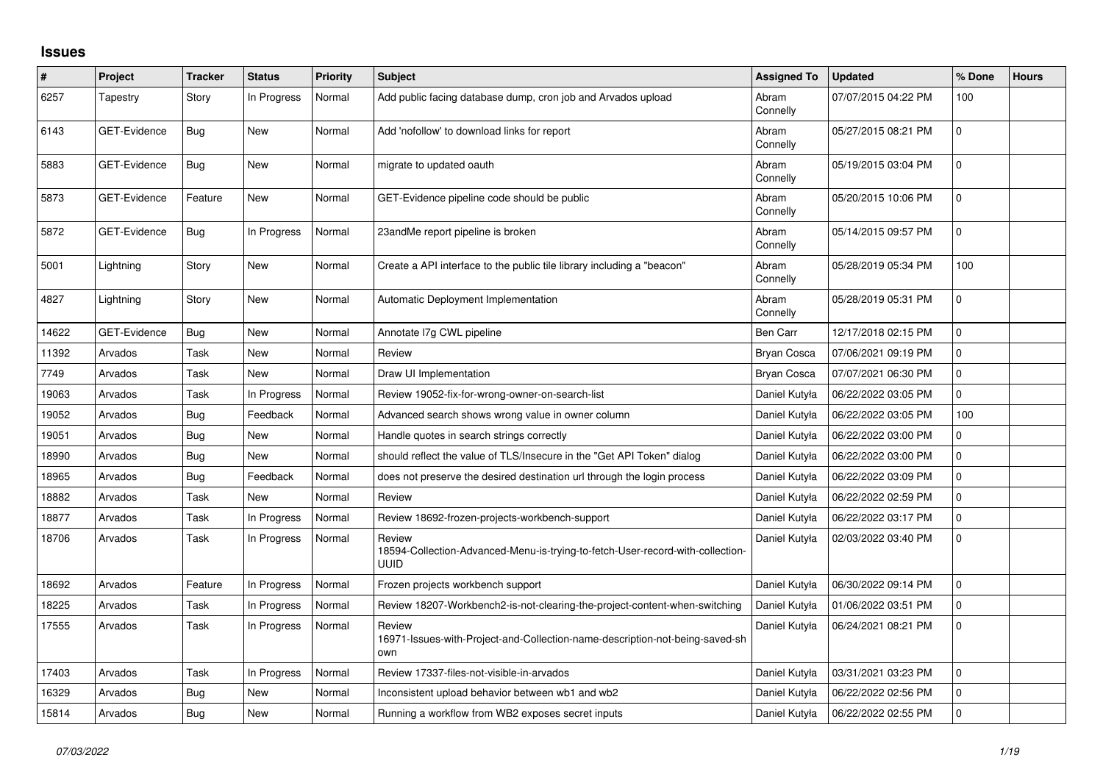## **Issues**

| $\#$  | Project             | <b>Tracker</b> | <b>Status</b> | <b>Priority</b> | <b>Subject</b>                                                                                          | <b>Assigned To</b> | <b>Updated</b>      | % Done       | <b>Hours</b> |
|-------|---------------------|----------------|---------------|-----------------|---------------------------------------------------------------------------------------------------------|--------------------|---------------------|--------------|--------------|
| 6257  | Tapestry            | Story          | In Progress   | Normal          | Add public facing database dump, cron job and Arvados upload                                            | Abram<br>Connelly  | 07/07/2015 04:22 PM | 100          |              |
| 6143  | GET-Evidence        | Bug            | <b>New</b>    | Normal          | Add 'nofollow' to download links for report                                                             | Abram<br>Connelly  | 05/27/2015 08:21 PM | $\Omega$     |              |
| 5883  | <b>GET-Evidence</b> | Bug            | New           | Normal          | migrate to updated oauth                                                                                | Abram<br>Connelly  | 05/19/2015 03:04 PM | $\mathbf 0$  |              |
| 5873  | GET-Evidence        | Feature        | New           | Normal          | GET-Evidence pipeline code should be public                                                             | Abram<br>Connelly  | 05/20/2015 10:06 PM | $\mathbf 0$  |              |
| 5872  | <b>GET-Evidence</b> | Bug            | In Progress   | Normal          | 23andMe report pipeline is broken                                                                       | Abram<br>Connelly  | 05/14/2015 09:57 PM | $\mathbf 0$  |              |
| 5001  | Lightning           | Story          | New           | Normal          | Create a API interface to the public tile library including a "beacon"                                  | Abram<br>Connelly  | 05/28/2019 05:34 PM | 100          |              |
| 4827  | Lightning           | Story          | <b>New</b>    | Normal          | Automatic Deployment Implementation                                                                     | Abram<br>Connelly  | 05/28/2019 05:31 PM | $\mathbf{0}$ |              |
| 14622 | <b>GET-Evidence</b> | Bug            | <b>New</b>    | Normal          | Annotate I7g CWL pipeline                                                                               | Ben Carr           | 12/17/2018 02:15 PM | $\Omega$     |              |
| 11392 | Arvados             | Task           | <b>New</b>    | Normal          | Review                                                                                                  | Bryan Cosca        | 07/06/2021 09:19 PM | $\Omega$     |              |
| 7749  | Arvados             | Task           | New           | Normal          | Draw UI Implementation                                                                                  | Bryan Cosca        | 07/07/2021 06:30 PM | $\mathbf 0$  |              |
| 19063 | Arvados             | Task           | In Progress   | Normal          | Review 19052-fix-for-wrong-owner-on-search-list                                                         | Daniel Kutyła      | 06/22/2022 03:05 PM | 0            |              |
| 19052 | Arvados             | <b>Bug</b>     | Feedback      | Normal          | Advanced search shows wrong value in owner column                                                       | Daniel Kutyła      | 06/22/2022 03:05 PM | 100          |              |
| 19051 | Arvados             | <b>Bug</b>     | New           | Normal          | Handle quotes in search strings correctly                                                               | Daniel Kutyła      | 06/22/2022 03:00 PM | 0            |              |
| 18990 | Arvados             | Bug            | <b>New</b>    | Normal          | should reflect the value of TLS/Insecure in the "Get API Token" dialog                                  | Daniel Kutyła      | 06/22/2022 03:00 PM | 0            |              |
| 18965 | Arvados             | <b>Bug</b>     | Feedback      | Normal          | does not preserve the desired destination url through the login process                                 | Daniel Kutyła      | 06/22/2022 03:09 PM | $\Omega$     |              |
| 18882 | Arvados             | Task           | New           | Normal          | Review                                                                                                  | Daniel Kutyła      | 06/22/2022 02:59 PM | $\mathbf 0$  |              |
| 18877 | Arvados             | Task           | In Progress   | Normal          | Review 18692-frozen-projects-workbench-support                                                          | Daniel Kutyła      | 06/22/2022 03:17 PM | 0            |              |
| 18706 | Arvados             | Task           | In Progress   | Normal          | Review<br>18594-Collection-Advanced-Menu-is-trying-to-fetch-User-record-with-collection-<br><b>UUID</b> | Daniel Kutyła      | 02/03/2022 03:40 PM | $\mathbf 0$  |              |
| 18692 | Arvados             | Feature        | In Progress   | Normal          | Frozen projects workbench support                                                                       | Daniel Kutyła      | 06/30/2022 09:14 PM | $\Omega$     |              |
| 18225 | Arvados             | Task           | In Progress   | Normal          | Review 18207-Workbench2-is-not-clearing-the-project-content-when-switching                              | Daniel Kutyła      | 01/06/2022 03:51 PM | $\mathbf 0$  |              |
| 17555 | Arvados             | Task           | In Progress   | Normal          | Review<br>16971-Issues-with-Project-and-Collection-name-description-not-being-saved-sh<br>own           | Daniel Kutyła      | 06/24/2021 08:21 PM | $\mathbf 0$  |              |
| 17403 | Arvados             | Task           | In Progress   | Normal          | Review 17337-files-not-visible-in-arvados                                                               | Daniel Kutyła      | 03/31/2021 03:23 PM | $\mathbf 0$  |              |
| 16329 | Arvados             | <b>Bug</b>     | <b>New</b>    | Normal          | Inconsistent upload behavior between wb1 and wb2                                                        | Daniel Kutyła      | 06/22/2022 02:56 PM | $\mathbf{0}$ |              |
| 15814 | Arvados             | Bug            | New           | Normal          | Running a workflow from WB2 exposes secret inputs                                                       | Daniel Kutyła      | 06/22/2022 02:55 PM | $\mathbf 0$  |              |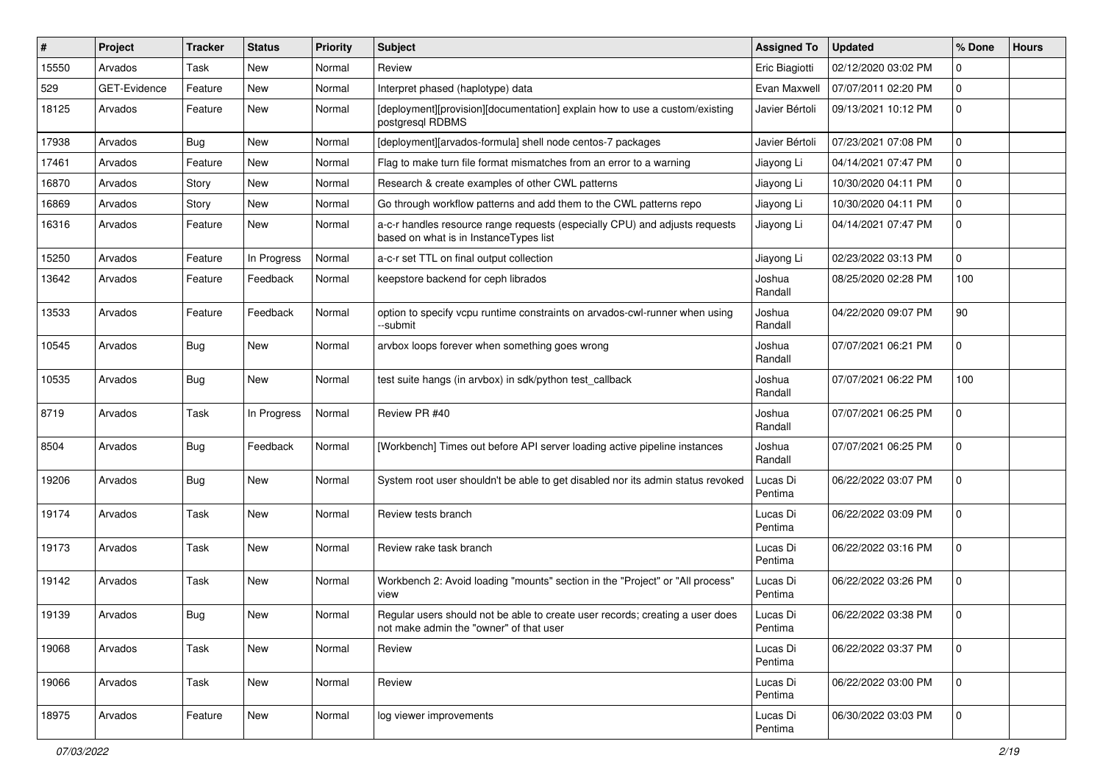| $\sharp$ | Project      | <b>Tracker</b> | <b>Status</b> | Priority | <b>Subject</b>                                                                                                           | <b>Assigned To</b>  | <b>Updated</b>      | % Done      | <b>Hours</b> |
|----------|--------------|----------------|---------------|----------|--------------------------------------------------------------------------------------------------------------------------|---------------------|---------------------|-------------|--------------|
| 15550    | Arvados      | Task           | New           | Normal   | Review                                                                                                                   | Eric Biagiotti      | 02/12/2020 03:02 PM | 0           |              |
| 529      | GET-Evidence | Feature        | <b>New</b>    | Normal   | Interpret phased (haplotype) data                                                                                        | Evan Maxwell        | 07/07/2011 02:20 PM | 0           |              |
| 18125    | Arvados      | Feature        | New           | Normal   | [deployment][provision][documentation] explain how to use a custom/existing<br>postgresql RDBMS                          | Javier Bértoli      | 09/13/2021 10:12 PM | 0           |              |
| 17938    | Arvados      | Bug            | <b>New</b>    | Normal   | [deployment][arvados-formula] shell node centos-7 packages                                                               | Javier Bértoli      | 07/23/2021 07:08 PM | 0           |              |
| 17461    | Arvados      | Feature        | New           | Normal   | Flag to make turn file format mismatches from an error to a warning                                                      | Jiayong Li          | 04/14/2021 07:47 PM | 0           |              |
| 16870    | Arvados      | Story          | New           | Normal   | Research & create examples of other CWL patterns                                                                         | Jiayong Li          | 10/30/2020 04:11 PM | 0           |              |
| 16869    | Arvados      | Story          | New           | Normal   | Go through workflow patterns and add them to the CWL patterns repo                                                       | Jiayong Li          | 10/30/2020 04:11 PM | 0           |              |
| 16316    | Arvados      | Feature        | New           | Normal   | a-c-r handles resource range requests (especially CPU) and adjusts requests<br>based on what is in InstanceTypes list    | Jiayong Li          | 04/14/2021 07:47 PM | 0           |              |
| 15250    | Arvados      | Feature        | In Progress   | Normal   | a-c-r set TTL on final output collection                                                                                 | Jiayong Li          | 02/23/2022 03:13 PM | 0           |              |
| 13642    | Arvados      | Feature        | Feedback      | Normal   | keepstore backend for ceph librados                                                                                      | Joshua<br>Randall   | 08/25/2020 02:28 PM | 100         |              |
| 13533    | Arvados      | Feature        | Feedback      | Normal   | option to specify vcpu runtime constraints on arvados-cwl-runner when using<br>--submit                                  | Joshua<br>Randall   | 04/22/2020 09:07 PM | 90          |              |
| 10545    | Arvados      | Bug            | <b>New</b>    | Normal   | arvbox loops forever when something goes wrong                                                                           | Joshua<br>Randall   | 07/07/2021 06:21 PM | 0           |              |
| 10535    | Arvados      | Bug            | New           | Normal   | test suite hangs (in arvbox) in sdk/python test_callback                                                                 | Joshua<br>Randall   | 07/07/2021 06:22 PM | 100         |              |
| 8719     | Arvados      | Task           | In Progress   | Normal   | Review PR #40                                                                                                            | Joshua<br>Randall   | 07/07/2021 06:25 PM | 0           |              |
| 8504     | Arvados      | Bug            | Feedback      | Normal   | [Workbench] Times out before API server loading active pipeline instances                                                | Joshua<br>Randall   | 07/07/2021 06:25 PM | 0           |              |
| 19206    | Arvados      | Bug            | <b>New</b>    | Normal   | System root user shouldn't be able to get disabled nor its admin status revoked                                          | Lucas Di<br>Pentima | 06/22/2022 03:07 PM | 0           |              |
| 19174    | Arvados      | Task           | New           | Normal   | Review tests branch                                                                                                      | Lucas Di<br>Pentima | 06/22/2022 03:09 PM | 0           |              |
| 19173    | Arvados      | Task           | <b>New</b>    | Normal   | Review rake task branch                                                                                                  | Lucas Di<br>Pentima | 06/22/2022 03:16 PM | 0           |              |
| 19142    | Arvados      | Task           | <b>New</b>    | Normal   | Workbench 2: Avoid loading "mounts" section in the "Project" or "All process"<br>view                                    | Lucas Di<br>Pentima | 06/22/2022 03:26 PM | 0           |              |
| 19139    | Arvados      | Bug            | New           | Normal   | Regular users should not be able to create user records; creating a user does<br>not make admin the "owner" of that user | Lucas Di<br>Pentima | 06/22/2022 03:38 PM | 0           |              |
| 19068    | Arvados      | Task           | <b>New</b>    | Normal   | Review                                                                                                                   | Lucas Di<br>Pentima | 06/22/2022 03:37 PM | $\mathbf 0$ |              |
| 19066    | Arvados      | Task           | New           | Normal   | Review                                                                                                                   | Lucas Di<br>Pentima | 06/22/2022 03:00 PM | $\mathbf 0$ |              |
| 18975    | Arvados      | Feature        | <b>New</b>    | Normal   | log viewer improvements                                                                                                  | Lucas Di<br>Pentima | 06/30/2022 03:03 PM | $\mathbf 0$ |              |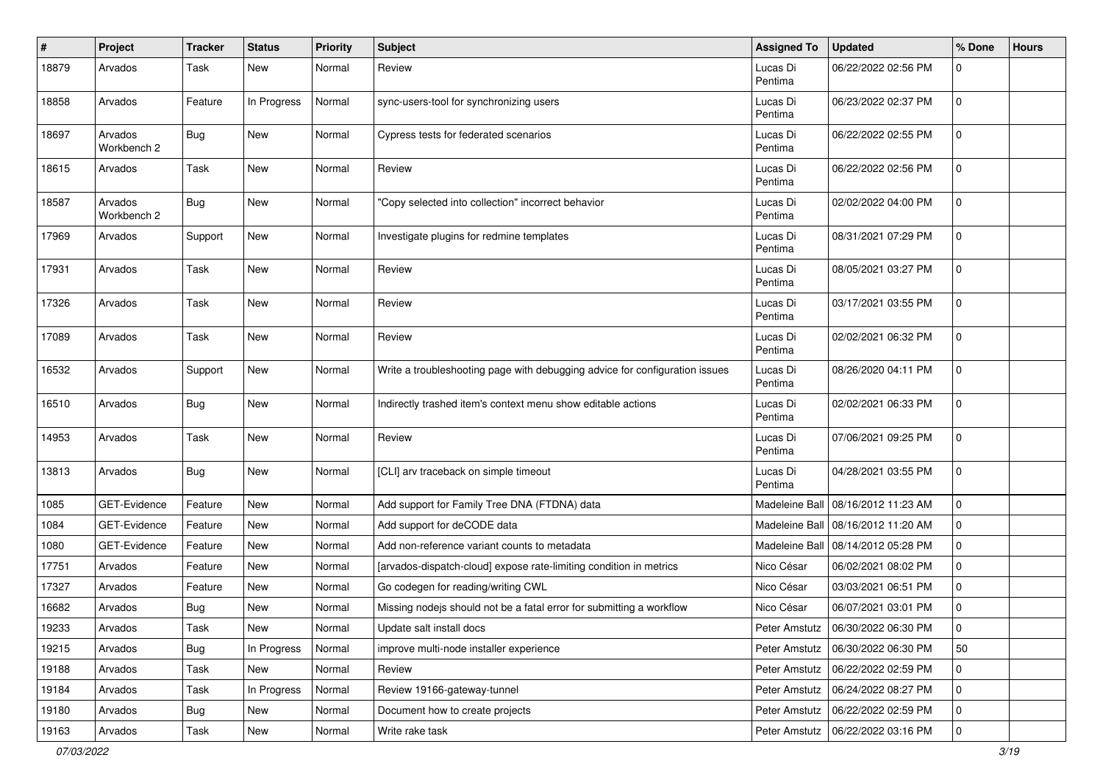| #     | Project                | <b>Tracker</b> | <b>Status</b> | Priority | Subject                                                                     | <b>Assigned To</b>  | <b>Updated</b>                      | % Done      | <b>Hours</b> |
|-------|------------------------|----------------|---------------|----------|-----------------------------------------------------------------------------|---------------------|-------------------------------------|-------------|--------------|
| 18879 | Arvados                | Task           | <b>New</b>    | Normal   | Review                                                                      | Lucas Di<br>Pentima | 06/22/2022 02:56 PM                 | 0           |              |
| 18858 | Arvados                | Feature        | In Progress   | Normal   | sync-users-tool for synchronizing users                                     | Lucas Di<br>Pentima | 06/23/2022 02:37 PM                 | $\mathbf 0$ |              |
| 18697 | Arvados<br>Workbench 2 | <b>Bug</b>     | New           | Normal   | Cypress tests for federated scenarios                                       | Lucas Di<br>Pentima | 06/22/2022 02:55 PM                 | $\mathbf 0$ |              |
| 18615 | Arvados                | Task           | <b>New</b>    | Normal   | Review                                                                      | Lucas Di<br>Pentima | 06/22/2022 02:56 PM                 | $\mathbf 0$ |              |
| 18587 | Arvados<br>Workbench 2 | <b>Bug</b>     | New           | Normal   | "Copy selected into collection" incorrect behavior                          | Lucas Di<br>Pentima | 02/02/2022 04:00 PM                 | $\mathbf 0$ |              |
| 17969 | Arvados                | Support        | New           | Normal   | Investigate plugins for redmine templates                                   | Lucas Di<br>Pentima | 08/31/2021 07:29 PM                 | $\mathbf 0$ |              |
| 17931 | Arvados                | Task           | <b>New</b>    | Normal   | Review                                                                      | Lucas Di<br>Pentima | 08/05/2021 03:27 PM                 | $\mathbf 0$ |              |
| 17326 | Arvados                | <b>Task</b>    | <b>New</b>    | Normal   | Review                                                                      | Lucas Di<br>Pentima | 03/17/2021 03:55 PM                 | $\mathbf 0$ |              |
| 17089 | Arvados                | Task           | <b>New</b>    | Normal   | Review                                                                      | Lucas Di<br>Pentima | 02/02/2021 06:32 PM                 | $\mathbf 0$ |              |
| 16532 | Arvados                | Support        | <b>New</b>    | Normal   | Write a troubleshooting page with debugging advice for configuration issues | Lucas Di<br>Pentima | 08/26/2020 04:11 PM                 | $\mathbf 0$ |              |
| 16510 | Arvados                | Bug            | <b>New</b>    | Normal   | Indirectly trashed item's context menu show editable actions                | Lucas Di<br>Pentima | 02/02/2021 06:33 PM                 | $\mathbf 0$ |              |
| 14953 | Arvados                | Task           | <b>New</b>    | Normal   | Review                                                                      | Lucas Di<br>Pentima | 07/06/2021 09:25 PM                 | $\mathbf 0$ |              |
| 13813 | Arvados                | <b>Bug</b>     | New           | Normal   | [CLI] arv traceback on simple timeout                                       | Lucas Di<br>Pentima | 04/28/2021 03:55 PM                 | $\mathbf 0$ |              |
| 1085  | GET-Evidence           | Feature        | New           | Normal   | Add support for Family Tree DNA (FTDNA) data                                | Madeleine Ball      | 08/16/2012 11:23 AM                 | $\mathbf 0$ |              |
| 1084  | GET-Evidence           | Feature        | <b>New</b>    | Normal   | Add support for deCODE data                                                 | Madeleine Ball      | 08/16/2012 11:20 AM                 | $\mathbf 0$ |              |
| 1080  | <b>GET-Evidence</b>    | Feature        | <b>New</b>    | Normal   | Add non-reference variant counts to metadata                                | Madeleine Ball      | 08/14/2012 05:28 PM                 | 0           |              |
| 17751 | Arvados                | Feature        | <b>New</b>    | Normal   | [arvados-dispatch-cloud] expose rate-limiting condition in metrics          | Nico César          | 06/02/2021 08:02 PM                 | $\mathbf 0$ |              |
| 17327 | Arvados                | Feature        | <b>New</b>    | Normal   | Go codegen for reading/writing CWL                                          | Nico César          | 03/03/2021 06:51 PM                 | 0           |              |
| 16682 | Arvados                | <b>Bug</b>     | <b>New</b>    | Normal   | Missing nodejs should not be a fatal error for submitting a workflow        | Nico César          | 06/07/2021 03:01 PM                 | 0           |              |
| 19233 | Arvados                | Task           | New           | Normal   | Update salt install docs                                                    |                     | Peter Amstutz   06/30/2022 06:30 PM | 0           |              |
| 19215 | Arvados                | <b>Bug</b>     | In Progress   | Normal   | improve multi-node installer experience                                     | Peter Amstutz       | 06/30/2022 06:30 PM                 | 50          |              |
| 19188 | Arvados                | Task           | New           | Normal   | Review                                                                      | Peter Amstutz       | 06/22/2022 02:59 PM                 | 0           |              |
| 19184 | Arvados                | Task           | In Progress   | Normal   | Review 19166-gateway-tunnel                                                 | Peter Amstutz       | 06/24/2022 08:27 PM                 | $\mathbf 0$ |              |
| 19180 | Arvados                | <b>Bug</b>     | New           | Normal   | Document how to create projects                                             | Peter Amstutz       | 06/22/2022 02:59 PM                 | 0           |              |
| 19163 | Arvados                | Task           | New           | Normal   | Write rake task                                                             | Peter Amstutz       | 06/22/2022 03:16 PM                 | 0           |              |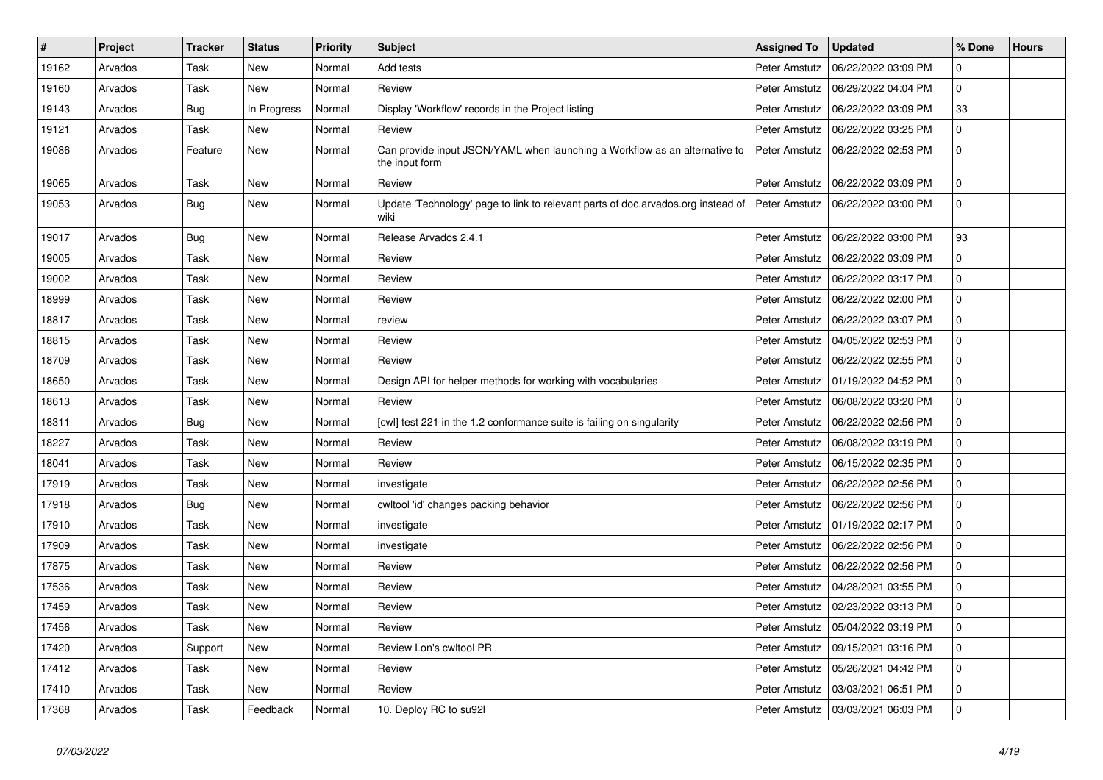| $\pmb{\#}$ | Project | <b>Tracker</b> | <b>Status</b> | Priority | <b>Subject</b>                                                                               | <b>Assigned To</b> | <b>Updated</b>      | % Done         | <b>Hours</b> |
|------------|---------|----------------|---------------|----------|----------------------------------------------------------------------------------------------|--------------------|---------------------|----------------|--------------|
| 19162      | Arvados | Task           | New           | Normal   | Add tests                                                                                    | Peter Amstutz      | 06/22/2022 03:09 PM | 0              |              |
| 19160      | Arvados | Task           | <b>New</b>    | Normal   | Review                                                                                       | Peter Amstutz      | 06/29/2022 04:04 PM | $\overline{0}$ |              |
| 19143      | Arvados | <b>Bug</b>     | In Progress   | Normal   | Display 'Workflow' records in the Project listing                                            | Peter Amstutz      | 06/22/2022 03:09 PM | 33             |              |
| 19121      | Arvados | Task           | New           | Normal   | Review                                                                                       | Peter Amstutz      | 06/22/2022 03:25 PM | 0              |              |
| 19086      | Arvados | Feature        | New           | Normal   | Can provide input JSON/YAML when launching a Workflow as an alternative to<br>the input form | Peter Amstutz      | 06/22/2022 02:53 PM | 0              |              |
| 19065      | Arvados | Task           | New           | Normal   | Review                                                                                       | Peter Amstutz      | 06/22/2022 03:09 PM | $\mathbf 0$    |              |
| 19053      | Arvados | <b>Bug</b>     | New           | Normal   | Update 'Technology' page to link to relevant parts of doc.arvados.org instead of<br>wiki     | Peter Amstutz      | 06/22/2022 03:00 PM | 0              |              |
| 19017      | Arvados | Bug            | New           | Normal   | Release Arvados 2.4.1                                                                        | Peter Amstutz      | 06/22/2022 03:00 PM | 93             |              |
| 19005      | Arvados | Task           | New           | Normal   | Review                                                                                       | Peter Amstutz      | 06/22/2022 03:09 PM | $\overline{0}$ |              |
| 19002      | Arvados | Task           | <b>New</b>    | Normal   | Review                                                                                       | Peter Amstutz      | 06/22/2022 03:17 PM | $\overline{0}$ |              |
| 18999      | Arvados | Task           | <b>New</b>    | Normal   | Review                                                                                       | Peter Amstutz      | 06/22/2022 02:00 PM | 0              |              |
| 18817      | Arvados | Task           | New           | Normal   | review                                                                                       | Peter Amstutz      | 06/22/2022 03:07 PM | 0              |              |
| 18815      | Arvados | Task           | New           | Normal   | Review                                                                                       | Peter Amstutz      | 04/05/2022 02:53 PM | 0              |              |
| 18709      | Arvados | Task           | New           | Normal   | Review                                                                                       | Peter Amstutz      | 06/22/2022 02:55 PM | 0              |              |
| 18650      | Arvados | Task           | New           | Normal   | Design API for helper methods for working with vocabularies                                  | Peter Amstutz      | 01/19/2022 04:52 PM | $\overline{0}$ |              |
| 18613      | Arvados | Task           | New           | Normal   | Review                                                                                       | Peter Amstutz      | 06/08/2022 03:20 PM | 0              |              |
| 18311      | Arvados | <b>Bug</b>     | <b>New</b>    | Normal   | [cwl] test 221 in the 1.2 conformance suite is failing on singularity                        | Peter Amstutz      | 06/22/2022 02:56 PM | 0              |              |
| 18227      | Arvados | Task           | New           | Normal   | Review                                                                                       | Peter Amstutz      | 06/08/2022 03:19 PM | 0              |              |
| 18041      | Arvados | Task           | New           | Normal   | Review                                                                                       | Peter Amstutz      | 06/15/2022 02:35 PM | 0              |              |
| 17919      | Arvados | Task           | New           | Normal   | investigate                                                                                  | Peter Amstutz      | 06/22/2022 02:56 PM | 0              |              |
| 17918      | Arvados | <b>Bug</b>     | New           | Normal   | cwltool 'id' changes packing behavior                                                        | Peter Amstutz      | 06/22/2022 02:56 PM | $\mathbf 0$    |              |
| 17910      | Arvados | Task           | <b>New</b>    | Normal   | investigate                                                                                  | Peter Amstutz      | 01/19/2022 02:17 PM | 0              |              |
| 17909      | Arvados | Task           | <b>New</b>    | Normal   | investigate                                                                                  | Peter Amstutz      | 06/22/2022 02:56 PM | 0              |              |
| 17875      | Arvados | Task           | New           | Normal   | Review                                                                                       | Peter Amstutz      | 06/22/2022 02:56 PM | 0              |              |
| 17536      | Arvados | Task           | New           | Normal   | Review                                                                                       | Peter Amstutz      | 04/28/2021 03:55 PM | $\mathbf 0$    |              |
| 17459      | Arvados | Task           | New           | Normal   | Review                                                                                       | Peter Amstutz      | 02/23/2022 03:13 PM | $\overline{0}$ |              |
| 17456      | Arvados | Task           | New           | Normal   | Review                                                                                       | Peter Amstutz      | 05/04/2022 03:19 PM | 0              |              |
| 17420      | Arvados | Support        | New           | Normal   | Review Lon's cwltool PR                                                                      | Peter Amstutz      | 09/15/2021 03:16 PM | 0              |              |
| 17412      | Arvados | Task           | <b>New</b>    | Normal   | Review                                                                                       | Peter Amstutz      | 05/26/2021 04:42 PM | 0              |              |
| 17410      | Arvados | Task           | New           | Normal   | Review                                                                                       | Peter Amstutz      | 03/03/2021 06:51 PM | 0              |              |
| 17368      | Arvados | Task           | Feedback      | Normal   | 10. Deploy RC to su92l                                                                       | Peter Amstutz      | 03/03/2021 06:03 PM | $\mathbf 0$    |              |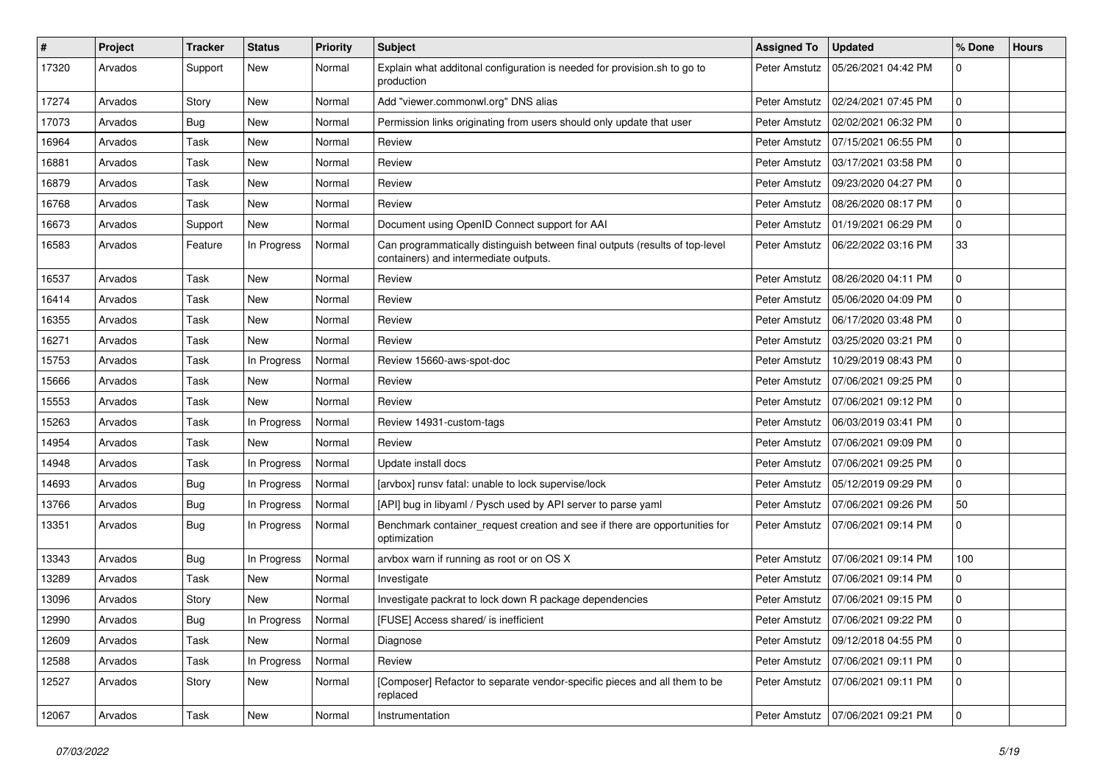| ∦     | Project | <b>Tracker</b> | <b>Status</b> | Priority | <b>Subject</b>                                                                                                        | <b>Assigned To</b> | <b>Updated</b>                      | % Done         | <b>Hours</b> |
|-------|---------|----------------|---------------|----------|-----------------------------------------------------------------------------------------------------------------------|--------------------|-------------------------------------|----------------|--------------|
| 17320 | Arvados | Support        | New           | Normal   | Explain what additonal configuration is needed for provision.sh to go to<br>production                                | Peter Amstutz      | 05/26/2021 04:42 PM                 | 0              |              |
| 17274 | Arvados | Story          | New           | Normal   | Add "viewer.commonwl.org" DNS alias                                                                                   | Peter Amstutz      | 02/24/2021 07:45 PM                 | $\mathbf 0$    |              |
| 17073 | Arvados | Bug            | New           | Normal   | Permission links originating from users should only update that user                                                  | Peter Amstutz      | 02/02/2021 06:32 PM                 | 0              |              |
| 16964 | Arvados | Task           | <b>New</b>    | Normal   | Review                                                                                                                | Peter Amstutz      | 07/15/2021 06:55 PM                 | $\mathbf 0$    |              |
| 16881 | Arvados | Task           | <b>New</b>    | Normal   | Review                                                                                                                | Peter Amstutz      | 03/17/2021 03:58 PM                 | 0              |              |
| 16879 | Arvados | Task           | New           | Normal   | Review                                                                                                                | Peter Amstutz      | 09/23/2020 04:27 PM                 | 0              |              |
| 16768 | Arvados | Task           | New           | Normal   | Review                                                                                                                | Peter Amstutz      | 08/26/2020 08:17 PM                 | 0              |              |
| 16673 | Arvados | Support        | New           | Normal   | Document using OpenID Connect support for AAI                                                                         | Peter Amstutz      | 01/19/2021 06:29 PM                 | 0              |              |
| 16583 | Arvados | Feature        | In Progress   | Normal   | Can programmatically distinguish between final outputs (results of top-level<br>containers) and intermediate outputs. | Peter Amstutz      | 06/22/2022 03:16 PM                 | 33             |              |
| 16537 | Arvados | Task           | New           | Normal   | Review                                                                                                                | Peter Amstutz      | 08/26/2020 04:11 PM                 | 0              |              |
| 16414 | Arvados | Task           | New           | Normal   | Review                                                                                                                | Peter Amstutz      | 05/06/2020 04:09 PM                 | 0              |              |
| 16355 | Arvados | Task           | New           | Normal   | Review                                                                                                                | Peter Amstutz      | 06/17/2020 03:48 PM                 | 0              |              |
| 16271 | Arvados | Task           | <b>New</b>    | Normal   | Review                                                                                                                | Peter Amstutz      | 03/25/2020 03:21 PM                 | 0              |              |
| 15753 | Arvados | Task           | In Progress   | Normal   | Review 15660-aws-spot-doc                                                                                             | Peter Amstutz      | 10/29/2019 08:43 PM                 | 0              |              |
| 15666 | Arvados | Task           | <b>New</b>    | Normal   | Review                                                                                                                | Peter Amstutz      | 07/06/2021 09:25 PM                 | 0              |              |
| 15553 | Arvados | Task           | <b>New</b>    | Normal   | Review                                                                                                                | Peter Amstutz      | 07/06/2021 09:12 PM                 | 0              |              |
| 15263 | Arvados | Task           | In Progress   | Normal   | Review 14931-custom-tags                                                                                              | Peter Amstutz      | 06/03/2019 03:41 PM                 | 0              |              |
| 14954 | Arvados | Task           | New           | Normal   | Review                                                                                                                | Peter Amstutz      | 07/06/2021 09:09 PM                 | 0              |              |
| 14948 | Arvados | Task           | In Progress   | Normal   | Update install docs                                                                                                   | Peter Amstutz      | 07/06/2021 09:25 PM                 | 0              |              |
| 14693 | Arvados | Bug            | In Progress   | Normal   | [arvbox] runsv fatal: unable to lock supervise/lock                                                                   | Peter Amstutz      | 05/12/2019 09:29 PM                 | 0              |              |
| 13766 | Arvados | Bug            | In Progress   | Normal   | [API] bug in libyaml / Pysch used by API server to parse yaml                                                         | Peter Amstutz      | 07/06/2021 09:26 PM                 | 50             |              |
| 13351 | Arvados | Bug            | In Progress   | Normal   | Benchmark container_request creation and see if there are opportunities for<br>optimization                           | Peter Amstutz      | 07/06/2021 09:14 PM                 | 0              |              |
| 13343 | Arvados | Bug            | In Progress   | Normal   | arvbox warn if running as root or on OS X                                                                             | Peter Amstutz      | 07/06/2021 09:14 PM                 | 100            |              |
| 13289 | Arvados | Task           | New           | Normal   | Investigate                                                                                                           | Peter Amstutz      | 07/06/2021 09:14 PM                 | 0              |              |
| 13096 | Arvados | Story          | New           | Normal   | Investigate packrat to lock down R package dependencies                                                               | Peter Amstutz      | 07/06/2021 09:15 PM                 | 0              |              |
| 12990 | Arvados | Bug            | In Progress   | Normal   | [FUSE] Access shared/ is inefficient                                                                                  |                    | Peter Amstutz   07/06/2021 09:22 PM | 0              |              |
| 12609 | Arvados | Task           | New           | Normal   | Diagnose                                                                                                              |                    | Peter Amstutz   09/12/2018 04:55 PM | 0              |              |
| 12588 | Arvados | Task           | In Progress   | Normal   | Review                                                                                                                |                    | Peter Amstutz   07/06/2021 09:11 PM | $\overline{0}$ |              |
| 12527 | Arvados | Story          | New           | Normal   | [Composer] Refactor to separate vendor-specific pieces and all them to be<br>replaced                                 |                    | Peter Amstutz   07/06/2021 09:11 PM | $\overline{0}$ |              |
| 12067 | Arvados | Task           | New           | Normal   | Instrumentation                                                                                                       |                    | Peter Amstutz   07/06/2021 09:21 PM | $\overline{0}$ |              |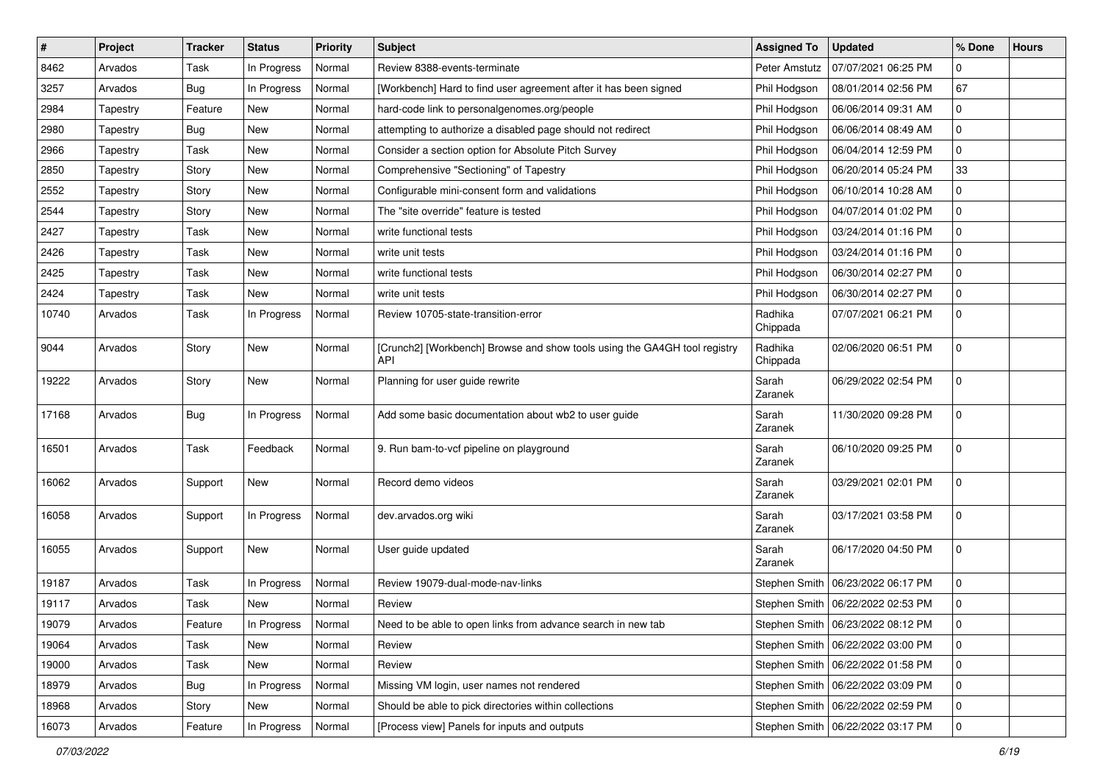| $\vert$ # | Project  | <b>Tracker</b> | <b>Status</b> | Priority | <b>Subject</b>                                                                          | <b>Assigned To</b>  | <b>Updated</b>                      | % Done      | <b>Hours</b> |
|-----------|----------|----------------|---------------|----------|-----------------------------------------------------------------------------------------|---------------------|-------------------------------------|-------------|--------------|
| 8462      | Arvados  | Task           | In Progress   | Normal   | Review 8388-events-terminate                                                            | Peter Amstutz       | 07/07/2021 06:25 PM                 | 0           |              |
| 3257      | Arvados  | Bug            | In Progress   | Normal   | [Workbench] Hard to find user agreement after it has been signed                        | Phil Hodgson        | 08/01/2014 02:56 PM                 | 67          |              |
| 2984      | Tapestry | Feature        | New           | Normal   | hard-code link to personalgenomes.org/people                                            | Phil Hodgson        | 06/06/2014 09:31 AM                 | 0           |              |
| 2980      | Tapestry | Bug            | New           | Normal   | attempting to authorize a disabled page should not redirect                             | Phil Hodgson        | 06/06/2014 08:49 AM                 | 0           |              |
| 2966      | Tapestry | Task           | <b>New</b>    | Normal   | Consider a section option for Absolute Pitch Survey                                     | Phil Hodgson        | 06/04/2014 12:59 PM                 | 0           |              |
| 2850      | Tapestry | Story          | New           | Normal   | Comprehensive "Sectioning" of Tapestry                                                  | Phil Hodgson        | 06/20/2014 05:24 PM                 | 33          |              |
| 2552      | Tapestry | Story          | New           | Normal   | Configurable mini-consent form and validations                                          | Phil Hodgson        | 06/10/2014 10:28 AM                 | 0           |              |
| 2544      | Tapestry | Story          | <b>New</b>    | Normal   | The "site override" feature is tested                                                   | Phil Hodgson        | 04/07/2014 01:02 PM                 | 0           |              |
| 2427      | Tapestry | Task           | New           | Normal   | write functional tests                                                                  | Phil Hodgson        | 03/24/2014 01:16 PM                 | 0           |              |
| 2426      | Tapestry | Task           | <b>New</b>    | Normal   | write unit tests                                                                        | Phil Hodgson        | 03/24/2014 01:16 PM                 | 0           |              |
| 2425      | Tapestry | Task           | New           | Normal   | write functional tests                                                                  | Phil Hodgson        | 06/30/2014 02:27 PM                 | 0           |              |
| 2424      | Tapestry | Task           | New           | Normal   | write unit tests                                                                        | Phil Hodgson        | 06/30/2014 02:27 PM                 | 0           |              |
| 10740     | Arvados  | Task           | In Progress   | Normal   | Review 10705-state-transition-error                                                     | Radhika<br>Chippada | 07/07/2021 06:21 PM                 | $\mathbf 0$ |              |
| 9044      | Arvados  | Story          | New           | Normal   | [Crunch2] [Workbench] Browse and show tools using the GA4GH tool registry<br><b>API</b> | Radhika<br>Chippada | 02/06/2020 06:51 PM                 | 0           |              |
| 19222     | Arvados  | Story          | <b>New</b>    | Normal   | Planning for user guide rewrite                                                         | Sarah<br>Zaranek    | 06/29/2022 02:54 PM                 | 0           |              |
| 17168     | Arvados  | Bug            | In Progress   | Normal   | Add some basic documentation about wb2 to user guide                                    | Sarah<br>Zaranek    | 11/30/2020 09:28 PM                 | 0           |              |
| 16501     | Arvados  | Task           | Feedback      | Normal   | 9. Run bam-to-vcf pipeline on playground                                                | Sarah<br>Zaranek    | 06/10/2020 09:25 PM                 | $\mathbf 0$ |              |
| 16062     | Arvados  | Support        | New           | Normal   | Record demo videos                                                                      | Sarah<br>Zaranek    | 03/29/2021 02:01 PM                 | 0           |              |
| 16058     | Arvados  | Support        | In Progress   | Normal   | dev.arvados.org wiki                                                                    | Sarah<br>Zaranek    | 03/17/2021 03:58 PM                 | $\mathbf 0$ |              |
| 16055     | Arvados  | Support        | New           | Normal   | User guide updated                                                                      | Sarah<br>Zaranek    | 06/17/2020 04:50 PM                 | 0           |              |
| 19187     | Arvados  | Task           | In Progress   | Normal   | Review 19079-dual-mode-nav-links                                                        |                     | Stephen Smith   06/23/2022 06:17 PM | $\mathbf 0$ |              |
| 19117     | Arvados  | Task           | New           | Normal   | Review                                                                                  |                     | Stephen Smith   06/22/2022 02:53 PM | 0           |              |
| 19079     | Arvados  | Feature        | In Progress   | Normal   | Need to be able to open links from advance search in new tab                            |                     | Stephen Smith   06/23/2022 08:12 PM | $\mathbf 0$ |              |
| 19064     | Arvados  | Task           | New           | Normal   | Review                                                                                  |                     | Stephen Smith   06/22/2022 03:00 PM | $\mathbf 0$ |              |
| 19000     | Arvados  | Task           | New           | Normal   | Review                                                                                  |                     | Stephen Smith   06/22/2022 01:58 PM | $\mathbf 0$ |              |
| 18979     | Arvados  | Bug            | In Progress   | Normal   | Missing VM login, user names not rendered                                               |                     | Stephen Smith   06/22/2022 03:09 PM | 0           |              |
| 18968     | Arvados  | Story          | New           | Normal   | Should be able to pick directories within collections                                   |                     | Stephen Smith   06/22/2022 02:59 PM | 0           |              |
| 16073     | Arvados  | Feature        | In Progress   | Normal   | [Process view] Panels for inputs and outputs                                            |                     | Stephen Smith   06/22/2022 03:17 PM | 0           |              |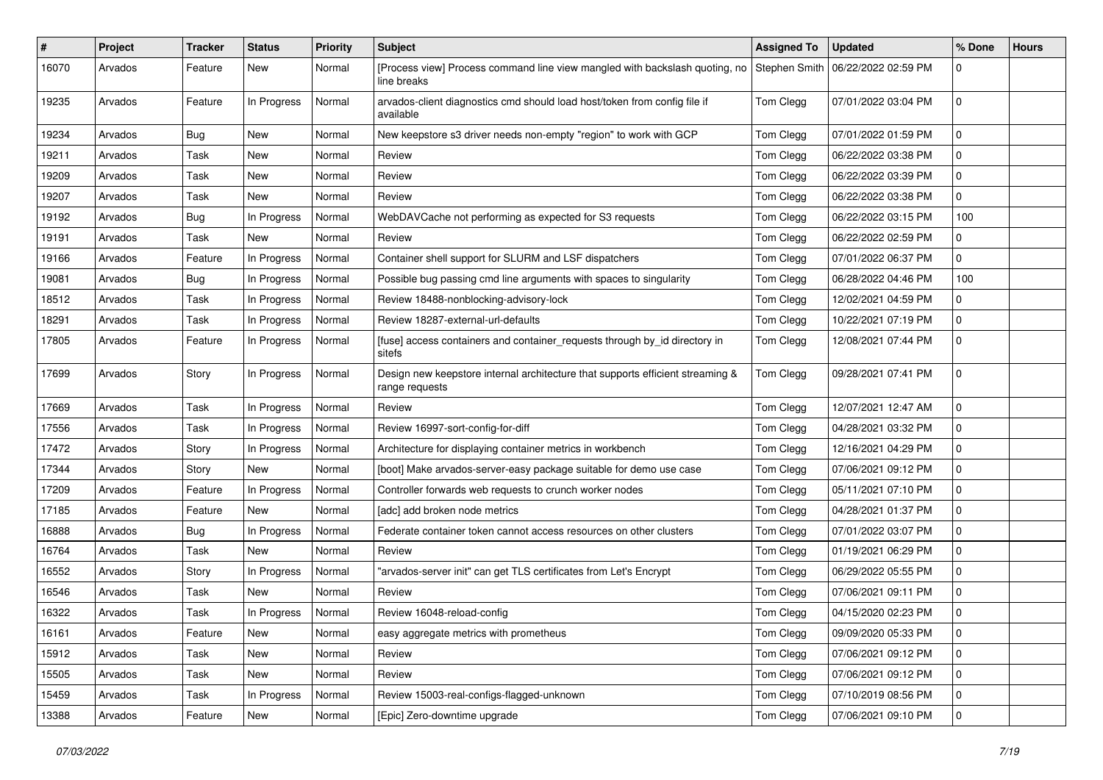| $\sharp$ | Project | <b>Tracker</b> | <b>Status</b> | Priority | Subject                                                                                          | <b>Assigned To</b> | <b>Updated</b>      | % Done      | <b>Hours</b> |
|----------|---------|----------------|---------------|----------|--------------------------------------------------------------------------------------------------|--------------------|---------------------|-------------|--------------|
| 16070    | Arvados | Feature        | New           | Normal   | [Process view] Process command line view mangled with backslash quoting, no  <br>line breaks     | Stephen Smith      | 06/22/2022 02:59 PM | 0           |              |
| 19235    | Arvados | Feature        | In Progress   | Normal   | arvados-client diagnostics cmd should load host/token from config file if<br>available           | Tom Clegg          | 07/01/2022 03:04 PM | 0           |              |
| 19234    | Arvados | Bug            | <b>New</b>    | Normal   | New keepstore s3 driver needs non-empty "region" to work with GCP                                | Tom Clegg          | 07/01/2022 01:59 PM | $\mathbf 0$ |              |
| 19211    | Arvados | Task           | New           | Normal   | Review                                                                                           | Tom Clegg          | 06/22/2022 03:38 PM | 0           |              |
| 19209    | Arvados | Task           | New           | Normal   | Review                                                                                           | Tom Clegg          | 06/22/2022 03:39 PM | 0           |              |
| 19207    | Arvados | Task           | New           | Normal   | Review                                                                                           | Tom Clegg          | 06/22/2022 03:38 PM | 0           |              |
| 19192    | Arvados | <b>Bug</b>     | In Progress   | Normal   | WebDAVCache not performing as expected for S3 requests                                           | Tom Clegg          | 06/22/2022 03:15 PM | 100         |              |
| 19191    | Arvados | Task           | New           | Normal   | Review                                                                                           | Tom Clegg          | 06/22/2022 02:59 PM | 0           |              |
| 19166    | Arvados | Feature        | In Progress   | Normal   | Container shell support for SLURM and LSF dispatchers                                            | Tom Clegg          | 07/01/2022 06:37 PM | 0           |              |
| 19081    | Arvados | Bug            | In Progress   | Normal   | Possible bug passing cmd line arguments with spaces to singularity                               | Tom Clegg          | 06/28/2022 04:46 PM | 100         |              |
| 18512    | Arvados | Task           | In Progress   | Normal   | Review 18488-nonblocking-advisory-lock                                                           | Tom Clegg          | 12/02/2021 04:59 PM | 0           |              |
| 18291    | Arvados | Task           | In Progress   | Normal   | Review 18287-external-url-defaults                                                               | Tom Clegg          | 10/22/2021 07:19 PM | 0           |              |
| 17805    | Arvados | Feature        | In Progress   | Normal   | [fuse] access containers and container_requests through by_id directory in<br>sitefs             | Tom Clegg          | 12/08/2021 07:44 PM | 0           |              |
| 17699    | Arvados | Story          | In Progress   | Normal   | Design new keepstore internal architecture that supports efficient streaming &<br>range requests | Tom Clegg          | 09/28/2021 07:41 PM | 0           |              |
| 17669    | Arvados | Task           | In Progress   | Normal   | Review                                                                                           | Tom Clegg          | 12/07/2021 12:47 AM | $\mathbf 0$ |              |
| 17556    | Arvados | Task           | In Progress   | Normal   | Review 16997-sort-config-for-diff                                                                | Tom Clegg          | 04/28/2021 03:32 PM | 0           |              |
| 17472    | Arvados | Story          | In Progress   | Normal   | Architecture for displaying container metrics in workbench                                       | Tom Clegg          | 12/16/2021 04:29 PM | 0           |              |
| 17344    | Arvados | Story          | New           | Normal   | [boot] Make arvados-server-easy package suitable for demo use case                               | Tom Clegg          | 07/06/2021 09:12 PM | 0           |              |
| 17209    | Arvados | Feature        | In Progress   | Normal   | Controller forwards web requests to crunch worker nodes                                          | Tom Clegg          | 05/11/2021 07:10 PM | 0           |              |
| 17185    | Arvados | Feature        | New           | Normal   | [adc] add broken node metrics                                                                    | Tom Clegg          | 04/28/2021 01:37 PM | 0           |              |
| 16888    | Arvados | <b>Bug</b>     | In Progress   | Normal   | Federate container token cannot access resources on other clusters                               | Tom Clegg          | 07/01/2022 03:07 PM | 0           |              |
| 16764    | Arvados | Task           | <b>New</b>    | Normal   | Review                                                                                           | Tom Clegg          | 01/19/2021 06:29 PM | $\mathbf 0$ |              |
| 16552    | Arvados | Story          | In Progress   | Normal   | "arvados-server init" can get TLS certificates from Let's Encrypt                                | Tom Clegg          | 06/29/2022 05:55 PM | 0           |              |
| 16546    | Arvados | Task           | <b>New</b>    | Normal   | Review                                                                                           | Tom Clegg          | 07/06/2021 09:11 PM | 0           |              |
| 16322    | Arvados | Task           | In Progress   | Normal   | Review 16048-reload-config                                                                       | Tom Clegg          | 04/15/2020 02:23 PM | 0           |              |
| 16161    | Arvados | Feature        | New           | Normal   | easy aggregate metrics with prometheus                                                           | Tom Clegg          | 09/09/2020 05:33 PM | 0           |              |
| 15912    | Arvados | Task           | New           | Normal   | Review                                                                                           | Tom Clegg          | 07/06/2021 09:12 PM | $\mathbf 0$ |              |
| 15505    | Arvados | Task           | New           | Normal   | Review                                                                                           | Tom Clegg          | 07/06/2021 09:12 PM | $\mathbf 0$ |              |
| 15459    | Arvados | Task           | In Progress   | Normal   | Review 15003-real-configs-flagged-unknown                                                        | Tom Clegg          | 07/10/2019 08:56 PM | 0           |              |
| 13388    | Arvados | Feature        | New           | Normal   | [Epic] Zero-downtime upgrade                                                                     | Tom Clegg          | 07/06/2021 09:10 PM | $\mathbf 0$ |              |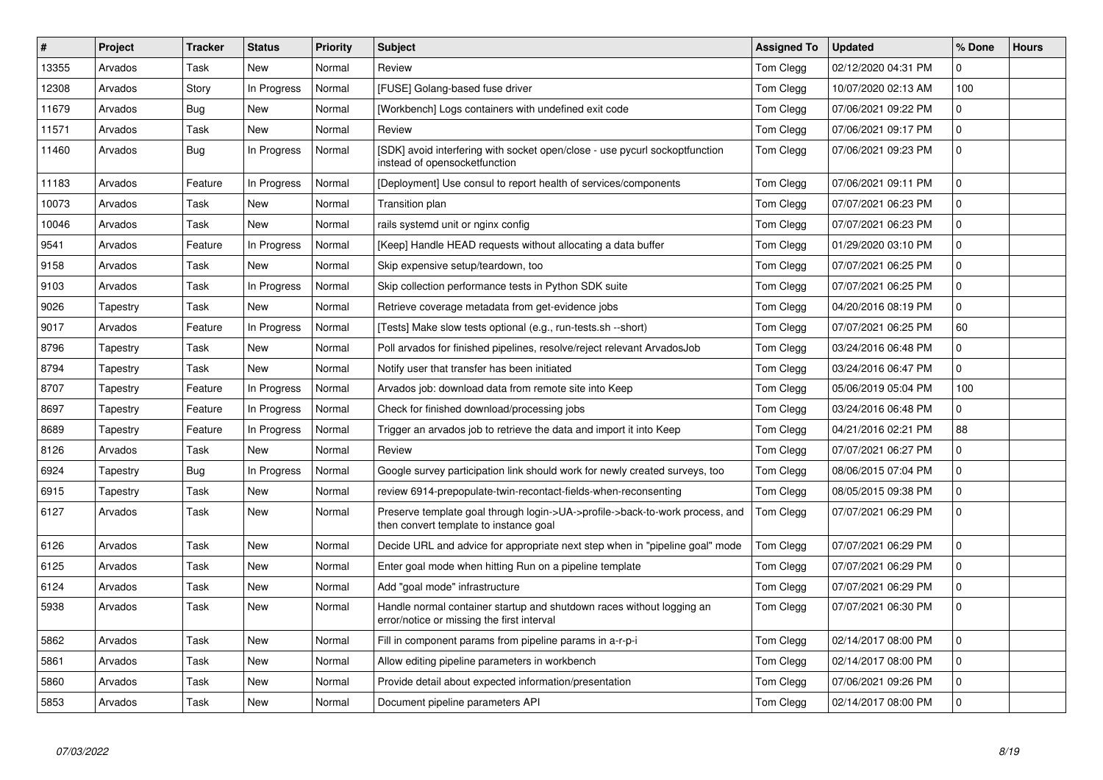| #     | Project  | <b>Tracker</b> | <b>Status</b> | Priority | <b>Subject</b>                                                                                                         | <b>Assigned To</b> | <b>Updated</b>      | % Done         | <b>Hours</b> |
|-------|----------|----------------|---------------|----------|------------------------------------------------------------------------------------------------------------------------|--------------------|---------------------|----------------|--------------|
| 13355 | Arvados  | Task           | <b>New</b>    | Normal   | Review                                                                                                                 | Tom Clegg          | 02/12/2020 04:31 PM | 0              |              |
| 12308 | Arvados  | Story          | In Progress   | Normal   | [FUSE] Golang-based fuse driver                                                                                        | Tom Clegg          | 10/07/2020 02:13 AM | 100            |              |
| 11679 | Arvados  | <b>Bug</b>     | <b>New</b>    | Normal   | [Workbench] Logs containers with undefined exit code                                                                   | Tom Clegg          | 07/06/2021 09:22 PM | 0              |              |
| 11571 | Arvados  | Task           | <b>New</b>    | Normal   | Review                                                                                                                 | Tom Clegg          | 07/06/2021 09:17 PM | 0              |              |
| 11460 | Arvados  | Bug            | In Progress   | Normal   | [SDK] avoid interfering with socket open/close - use pycurl sockoptfunction<br>instead of opensocketfunction           | Tom Clegg          | 07/06/2021 09:23 PM | $\overline{0}$ |              |
| 11183 | Arvados  | Feature        | In Progress   | Normal   | [Deployment] Use consul to report health of services/components                                                        | Tom Clegg          | 07/06/2021 09:11 PM | 0              |              |
| 10073 | Arvados  | Task           | <b>New</b>    | Normal   | <b>Transition plan</b>                                                                                                 | Tom Clegg          | 07/07/2021 06:23 PM | 0              |              |
| 10046 | Arvados  | Task           | <b>New</b>    | Normal   | rails systemd unit or nginx config                                                                                     | Tom Clegg          | 07/07/2021 06:23 PM | $\overline{0}$ |              |
| 9541  | Arvados  | Feature        | In Progress   | Normal   | [Keep] Handle HEAD requests without allocating a data buffer                                                           | Tom Clegg          | 01/29/2020 03:10 PM | 0              |              |
| 9158  | Arvados  | Task           | <b>New</b>    | Normal   | Skip expensive setup/teardown, too                                                                                     | Tom Clegg          | 07/07/2021 06:25 PM | 0              |              |
| 9103  | Arvados  | Task           | In Progress   | Normal   | Skip collection performance tests in Python SDK suite                                                                  | Tom Clegg          | 07/07/2021 06:25 PM | 0              |              |
| 9026  | Tapestry | Task           | New           | Normal   | Retrieve coverage metadata from get-evidence jobs                                                                      | Tom Clegg          | 04/20/2016 08:19 PM | $\overline{0}$ |              |
| 9017  | Arvados  | Feature        | In Progress   | Normal   | [Tests] Make slow tests optional (e.g., run-tests.sh --short)                                                          | Tom Clegg          | 07/07/2021 06:25 PM | 60             |              |
| 8796  | Tapestry | Task           | <b>New</b>    | Normal   | Poll arvados for finished pipelines, resolve/reject relevant ArvadosJob                                                | Tom Clegg          | 03/24/2016 06:48 PM | 0              |              |
| 8794  | Tapestry | Task           | <b>New</b>    | Normal   | Notify user that transfer has been initiated                                                                           | Tom Clegg          | 03/24/2016 06:47 PM | 0              |              |
| 8707  | Tapestry | Feature        | In Progress   | Normal   | Arvados job: download data from remote site into Keep                                                                  | Tom Clegg          | 05/06/2019 05:04 PM | 100            |              |
| 8697  | Tapestry | Feature        | In Progress   | Normal   | Check for finished download/processing jobs                                                                            | Tom Clegg          | 03/24/2016 06:48 PM | 0              |              |
| 8689  | Tapestry | Feature        | In Progress   | Normal   | Trigger an arvados job to retrieve the data and import it into Keep                                                    | Tom Clegg          | 04/21/2016 02:21 PM | 88             |              |
| 8126  | Arvados  | Task           | New           | Normal   | Review                                                                                                                 | Tom Clegg          | 07/07/2021 06:27 PM | 0              |              |
| 6924  | Tapestry | <b>Bug</b>     | In Progress   | Normal   | Google survey participation link should work for newly created surveys, too                                            | Tom Clegg          | 08/06/2015 07:04 PM | 0              |              |
| 6915  | Tapestry | Task           | <b>New</b>    | Normal   | review 6914-prepopulate-twin-recontact-fields-when-reconsenting                                                        | Tom Clegg          | 08/05/2015 09:38 PM | 0              |              |
| 6127  | Arvados  | Task           | <b>New</b>    | Normal   | Preserve template goal through login->UA->profile->back-to-work process, and<br>then convert template to instance goal | Tom Clegg          | 07/07/2021 06:29 PM | 0              |              |
| 6126  | Arvados  | Task           | <b>New</b>    | Normal   | Decide URL and advice for appropriate next step when in "pipeline goal" mode                                           | Tom Clegg          | 07/07/2021 06:29 PM | 0              |              |
| 6125  | Arvados  | Task           | <b>New</b>    | Normal   | Enter goal mode when hitting Run on a pipeline template                                                                | Tom Clegg          | 07/07/2021 06:29 PM | 0              |              |
| 6124  | Arvados  | Task           | <b>New</b>    | Normal   | Add "goal mode" infrastructure                                                                                         | Tom Clegg          | 07/07/2021 06:29 PM | 0              |              |
| 5938  | Arvados  | Task           | New           | Normal   | Handle normal container startup and shutdown races without logging an<br>error/notice or missing the first interval    | Tom Clegg          | 07/07/2021 06:30 PM | $\overline{0}$ |              |
| 5862  | Arvados  | Task           | New           | Normal   | Fill in component params from pipeline params in a-r-p-i                                                               | Tom Clegg          | 02/14/2017 08:00 PM | 0              |              |
| 5861  | Arvados  | Task           | <b>New</b>    | Normal   | Allow editing pipeline parameters in workbench                                                                         | Tom Clegg          | 02/14/2017 08:00 PM | 0              |              |
| 5860  | Arvados  | Task           | <b>New</b>    | Normal   | Provide detail about expected information/presentation                                                                 | Tom Clegg          | 07/06/2021 09:26 PM | 0              |              |
| 5853  | Arvados  | Task           | <b>New</b>    | Normal   | Document pipeline parameters API                                                                                       | Tom Clegg          | 02/14/2017 08:00 PM | 0              |              |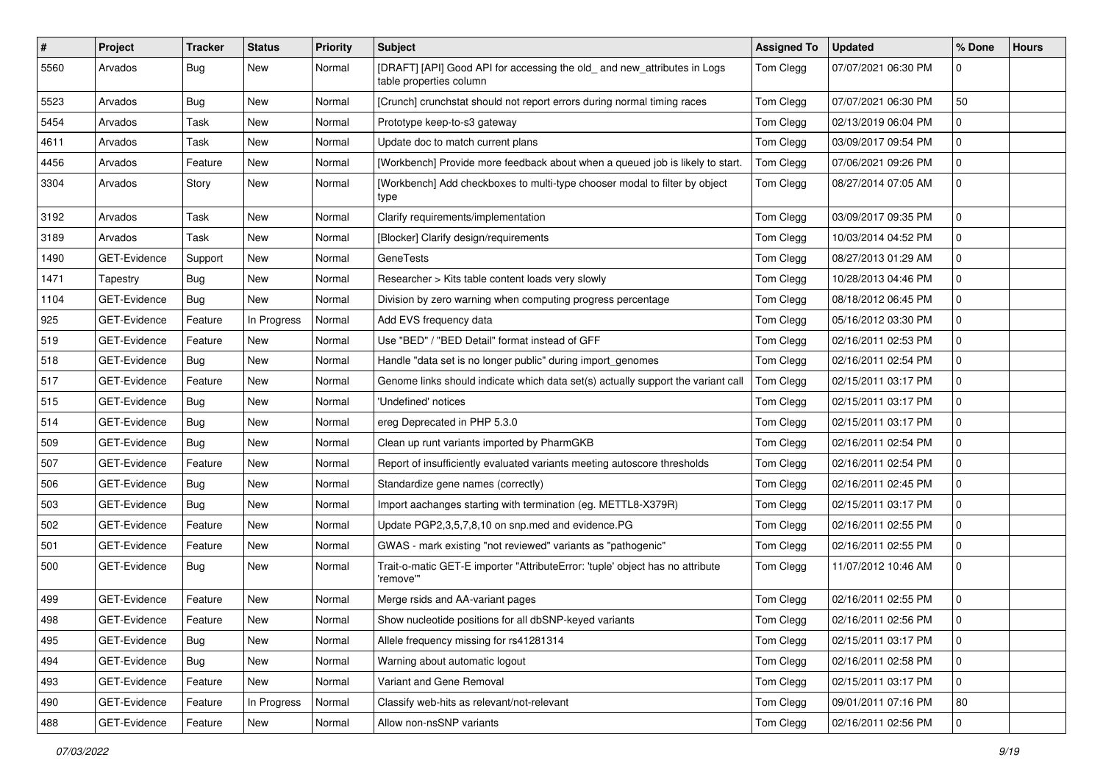| $\#$ | Project             | <b>Tracker</b> | <b>Status</b> | <b>Priority</b> | <b>Subject</b>                                                                                      | <b>Assigned To</b> | <b>Updated</b>      | % Done      | <b>Hours</b> |
|------|---------------------|----------------|---------------|-----------------|-----------------------------------------------------------------------------------------------------|--------------------|---------------------|-------------|--------------|
| 5560 | Arvados             | Bug            | New           | Normal          | [DRAFT] [API] Good API for accessing the old_ and new_attributes in Logs<br>table properties column | Tom Clegg          | 07/07/2021 06:30 PM | 0           |              |
| 5523 | Arvados             | <b>Bug</b>     | New           | Normal          | [Crunch] crunchstat should not report errors during normal timing races                             | Tom Clegg          | 07/07/2021 06:30 PM | 50          |              |
| 5454 | Arvados             | Task           | New           | Normal          | Prototype keep-to-s3 gateway                                                                        | Tom Clegg          | 02/13/2019 06:04 PM | 0           |              |
| 4611 | Arvados             | Task           | <b>New</b>    | Normal          | Update doc to match current plans                                                                   | Tom Clegg          | 03/09/2017 09:54 PM | 0           |              |
| 4456 | Arvados             | Feature        | New           | Normal          | [Workbench] Provide more feedback about when a queued job is likely to start.                       | Tom Clegg          | 07/06/2021 09:26 PM | 0           |              |
| 3304 | Arvados             | Story          | New           | Normal          | [Workbench] Add checkboxes to multi-type chooser modal to filter by object<br>type                  | Tom Clegg          | 08/27/2014 07:05 AM | 0           |              |
| 3192 | Arvados             | Task           | New           | Normal          | Clarify requirements/implementation                                                                 | Tom Clegg          | 03/09/2017 09:35 PM | 0           |              |
| 3189 | Arvados             | Task           | New           | Normal          | [Blocker] Clarify design/requirements                                                               | Tom Clegg          | 10/03/2014 04:52 PM | 0           |              |
| 1490 | GET-Evidence        | Support        | New           | Normal          | <b>GeneTests</b>                                                                                    | Tom Clegg          | 08/27/2013 01:29 AM | 0           |              |
| 1471 | Tapestry            | <b>Bug</b>     | New           | Normal          | Researcher > Kits table content loads very slowly                                                   | Tom Clegg          | 10/28/2013 04:46 PM | 0           |              |
| 1104 | <b>GET-Evidence</b> | Bug            | <b>New</b>    | Normal          | Division by zero warning when computing progress percentage                                         | Tom Clegg          | 08/18/2012 06:45 PM | 0           |              |
| 925  | <b>GET-Evidence</b> | Feature        | In Progress   | Normal          | Add EVS frequency data                                                                              | Tom Clegg          | 05/16/2012 03:30 PM | 0           |              |
| 519  | GET-Evidence        | Feature        | New           | Normal          | Use "BED" / "BED Detail" format instead of GFF                                                      | Tom Clegg          | 02/16/2011 02:53 PM | 0           |              |
| 518  | GET-Evidence        | Bug            | New           | Normal          | Handle "data set is no longer public" during import genomes                                         | Tom Clegg          | 02/16/2011 02:54 PM | 0           |              |
| 517  | <b>GET-Evidence</b> | Feature        | New           | Normal          | Genome links should indicate which data set(s) actually support the variant call                    | Tom Clegg          | 02/15/2011 03:17 PM | 0           |              |
| 515  | <b>GET-Evidence</b> | Bug            | New           | Normal          | 'Undefined' notices                                                                                 | Tom Clegg          | 02/15/2011 03:17 PM | 0           |              |
| 514  | GET-Evidence        | Bug            | New           | Normal          | ereg Deprecated in PHP 5.3.0                                                                        | Tom Clegg          | 02/15/2011 03:17 PM | 0           |              |
| 509  | GET-Evidence        | Bug            | New           | Normal          | Clean up runt variants imported by PharmGKB                                                         | Tom Clegg          | 02/16/2011 02:54 PM | 0           |              |
| 507  | <b>GET-Evidence</b> | Feature        | New           | Normal          | Report of insufficiently evaluated variants meeting autoscore thresholds                            | Tom Clegg          | 02/16/2011 02:54 PM | 0           |              |
| 506  | GET-Evidence        | Bug            | New           | Normal          | Standardize gene names (correctly)                                                                  | Tom Clegg          | 02/16/2011 02:45 PM | 0           |              |
| 503  | GET-Evidence        | Bug            | New           | Normal          | Import aachanges starting with termination (eg. METTL8-X379R)                                       | Tom Clegg          | 02/15/2011 03:17 PM | 0           |              |
| 502  | GET-Evidence        | Feature        | New           | Normal          | Update PGP2,3,5,7,8,10 on snp.med and evidence.PG                                                   | Tom Clegg          | 02/16/2011 02:55 PM | 0           |              |
| 501  | GET-Evidence        | Feature        | New           | Normal          | GWAS - mark existing "not reviewed" variants as "pathogenic"                                        | Tom Clegg          | 02/16/2011 02:55 PM | 0           |              |
| 500  | GET-Evidence        | Bug            | New           | Normal          | Trait-o-matic GET-E importer "AttributeError: 'tuple' object has no attribute<br>'remove'"          | Tom Clegg          | 11/07/2012 10:46 AM | 0           |              |
| 499  | GET-Evidence        | Feature        | New           | Normal          | Merge rsids and AA-variant pages                                                                    | Tom Clegg          | 02/16/2011 02:55 PM | 0           |              |
| 498  | GET-Evidence        | Feature        | New           | Normal          | Show nucleotide positions for all dbSNP-keyed variants                                              | Tom Clegg          | 02/16/2011 02:56 PM | $\mathbf 0$ |              |
| 495  | GET-Evidence        | Bug            | New           | Normal          | Allele frequency missing for rs41281314                                                             | Tom Clegg          | 02/15/2011 03:17 PM | $\mathbf 0$ |              |
| 494  | GET-Evidence        | Bug            | New           | Normal          | Warning about automatic logout                                                                      | Tom Clegg          | 02/16/2011 02:58 PM | 0           |              |
| 493  | GET-Evidence        | Feature        | New           | Normal          | Variant and Gene Removal                                                                            | Tom Clegg          | 02/15/2011 03:17 PM | 0           |              |
| 490  | GET-Evidence        | Feature        | In Progress   | Normal          | Classify web-hits as relevant/not-relevant                                                          | Tom Clegg          | 09/01/2011 07:16 PM | 80          |              |
| 488  | GET-Evidence        | Feature        | New           | Normal          | Allow non-nsSNP variants                                                                            | Tom Clegg          | 02/16/2011 02:56 PM | $\mathbf 0$ |              |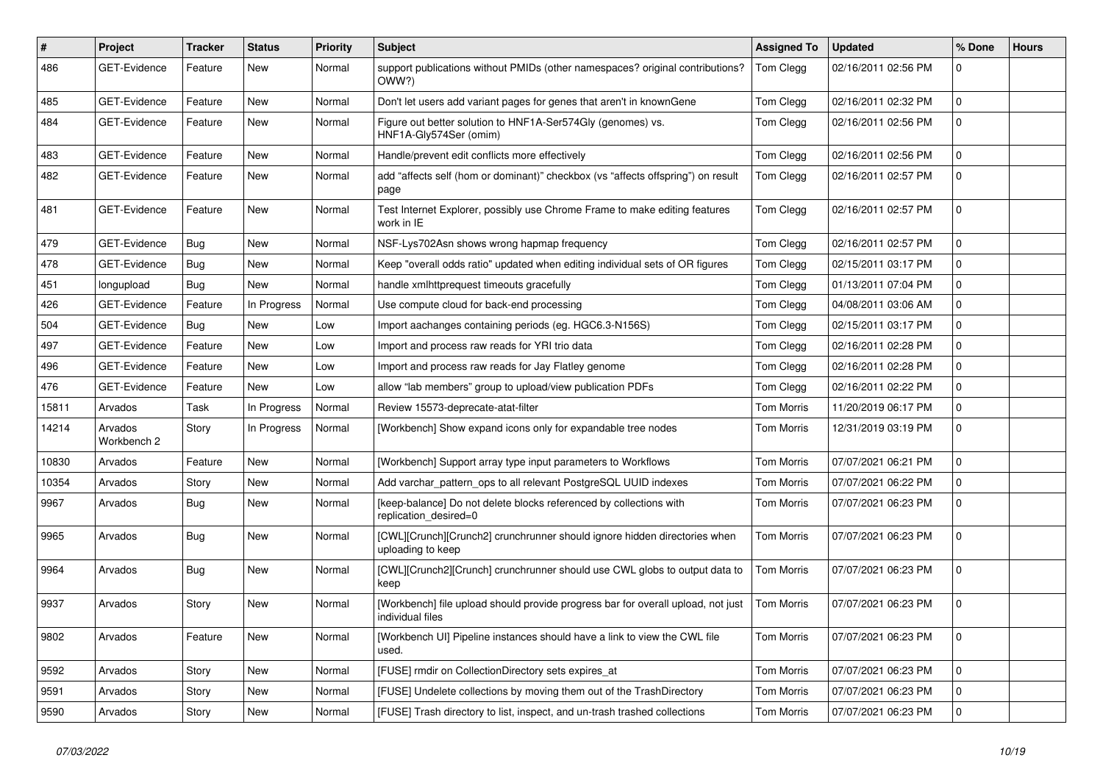| #     | Project                | <b>Tracker</b> | <b>Status</b> | <b>Priority</b> | <b>Subject</b>                                                                                       | <b>Assigned To</b> | <b>Updated</b>      | % Done      | <b>Hours</b> |
|-------|------------------------|----------------|---------------|-----------------|------------------------------------------------------------------------------------------------------|--------------------|---------------------|-------------|--------------|
| 486   | <b>GET-Evidence</b>    | Feature        | New           | Normal          | support publications without PMIDs (other namespaces? original contributions?<br>OWW?)               | Tom Clegg          | 02/16/2011 02:56 PM | 0           |              |
| 485   | <b>GET-Evidence</b>    | Feature        | New           | Normal          | Don't let users add variant pages for genes that aren't in knownGene                                 | Tom Clegg          | 02/16/2011 02:32 PM | $\mathbf 0$ |              |
| 484   | GET-Evidence           | Feature        | New           | Normal          | Figure out better solution to HNF1A-Ser574Gly (genomes) vs.<br>HNF1A-Gly574Ser (omim)                | Tom Clegg          | 02/16/2011 02:56 PM | 0           |              |
| 483   | <b>GET-Evidence</b>    | Feature        | <b>New</b>    | Normal          | Handle/prevent edit conflicts more effectively                                                       | Tom Clegg          | 02/16/2011 02:56 PM | 0           |              |
| 482   | GET-Evidence           | Feature        | New           | Normal          | add "affects self (hom or dominant)" checkbox (vs "affects offspring") on result<br>page             | Tom Clegg          | 02/16/2011 02:57 PM | 0           |              |
| 481   | <b>GET-Evidence</b>    | Feature        | New           | Normal          | Test Internet Explorer, possibly use Chrome Frame to make editing features<br>work in IE             | Tom Clegg          | 02/16/2011 02:57 PM | 0           |              |
| 479   | GET-Evidence           | Bug            | New           | Normal          | NSF-Lys702Asn shows wrong hapmap frequency                                                           | Tom Clegg          | 02/16/2011 02:57 PM | 0           |              |
| 478   | GET-Evidence           | Bug            | New           | Normal          | Keep "overall odds ratio" updated when editing individual sets of OR figures                         | Tom Clegg          | 02/15/2011 03:17 PM | 0           |              |
| 451   | longupload             | Bug            | <b>New</b>    | Normal          | handle xmlhttprequest timeouts gracefully                                                            | Tom Clegg          | 01/13/2011 07:04 PM | 0           |              |
| 426   | GET-Evidence           | Feature        | In Progress   | Normal          | Use compute cloud for back-end processing                                                            | Tom Clegg          | 04/08/2011 03:06 AM | 0           |              |
| 504   | GET-Evidence           | Bug            | New           | Low             | Import aachanges containing periods (eg. HGC6.3-N156S)                                               | Tom Clegg          | 02/15/2011 03:17 PM | 0           |              |
| 497   | GET-Evidence           | Feature        | New           | Low             | Import and process raw reads for YRI trio data                                                       | Tom Clegg          | 02/16/2011 02:28 PM | 0           |              |
| 496   | <b>GET-Evidence</b>    | Feature        | New           | Low             | Import and process raw reads for Jay Flatley genome                                                  | Tom Clegg          | 02/16/2011 02:28 PM | 0           |              |
| 476   | GET-Evidence           | Feature        | <b>New</b>    | Low             | allow "lab members" group to upload/view publication PDFs                                            | Tom Clegg          | 02/16/2011 02:22 PM | 0           |              |
| 15811 | Arvados                | Task           | In Progress   | Normal          | Review 15573-deprecate-atat-filter                                                                   | <b>Tom Morris</b>  | 11/20/2019 06:17 PM | 0           |              |
| 14214 | Arvados<br>Workbench 2 | Story          | In Progress   | Normal          | [Workbench] Show expand icons only for expandable tree nodes                                         | <b>Tom Morris</b>  | 12/31/2019 03:19 PM | 0           |              |
| 10830 | Arvados                | Feature        | New           | Normal          | [Workbench] Support array type input parameters to Workflows                                         | <b>Tom Morris</b>  | 07/07/2021 06:21 PM | 0           |              |
| 10354 | Arvados                | Story          | New           | Normal          | Add varchar_pattern_ops to all relevant PostgreSQL UUID indexes                                      | Tom Morris         | 07/07/2021 06:22 PM | 0           |              |
| 9967  | Arvados                | Bug            | New           | Normal          | [keep-balance] Do not delete blocks referenced by collections with<br>replication_desired=0          | Tom Morris         | 07/07/2021 06:23 PM | 0           |              |
| 9965  | Arvados                | Bug            | New           | Normal          | [CWL][Crunch][Crunch2] crunchrunner should ignore hidden directories when<br>uploading to keep       | <b>Tom Morris</b>  | 07/07/2021 06:23 PM | 0           |              |
| 9964  | Arvados                | Bug            | New           | Normal          | [CWL][Crunch2][Crunch] crunchrunner should use CWL globs to output data to<br>keep                   | <b>Tom Morris</b>  | 07/07/2021 06:23 PM | 0           |              |
| 9937  | Arvados                | Story          | New           | Normal          | [Workbench] file upload should provide progress bar for overall upload, not just<br>individual files | Tom Morris         | 07/07/2021 06:23 PM | 0           |              |
| 9802  | Arvados                | Feature        | New           | Normal          | [Workbench UI] Pipeline instances should have a link to view the CWL file<br>used.                   | Tom Morris         | 07/07/2021 06:23 PM | $\mathbf 0$ |              |
| 9592  | Arvados                | Story          | New           | Normal          | [FUSE] rmdir on CollectionDirectory sets expires at                                                  | Tom Morris         | 07/07/2021 06:23 PM | $\mathbf 0$ |              |
| 9591  | Arvados                | Story          | New           | Normal          | [FUSE] Undelete collections by moving them out of the TrashDirectory                                 | <b>Tom Morris</b>  | 07/07/2021 06:23 PM | 0           |              |
| 9590  | Arvados                | Story          | New           | Normal          | [FUSE] Trash directory to list, inspect, and un-trash trashed collections                            | Tom Morris         | 07/07/2021 06:23 PM | 0           |              |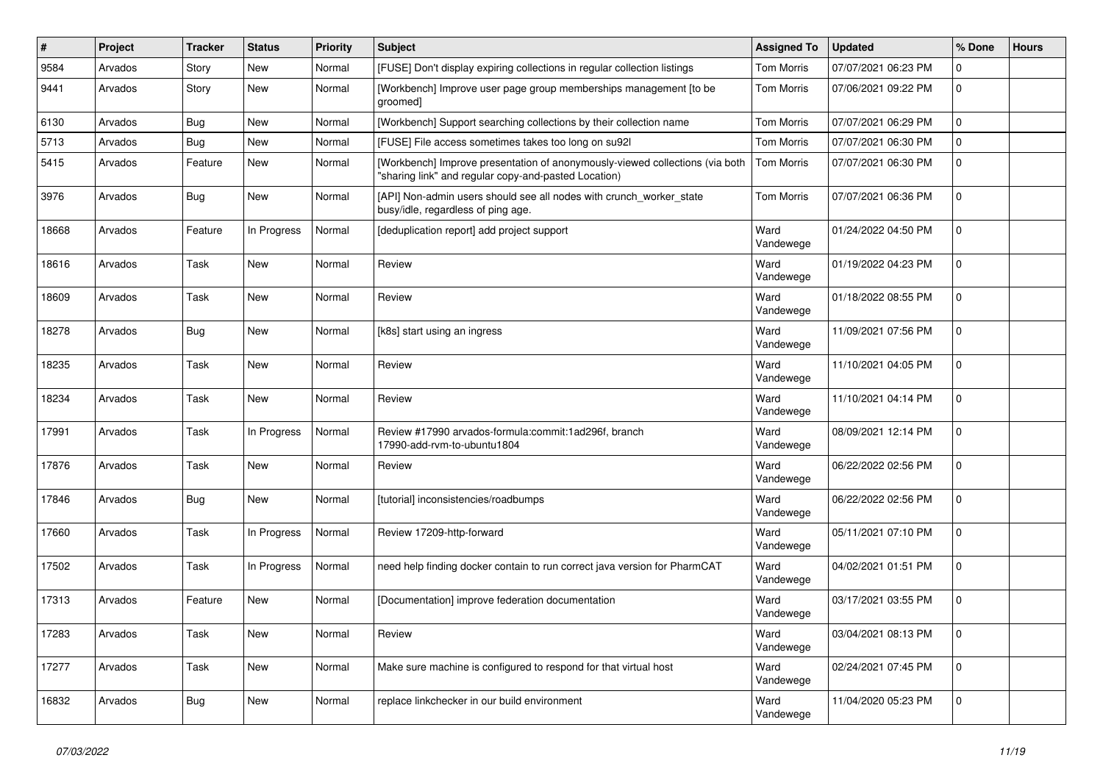| $\vert$ # | Project | <b>Tracker</b> | <b>Status</b> | <b>Priority</b> | <b>Subject</b>                                                                                                                       | <b>Assigned To</b> | <b>Updated</b>      | % Done      | <b>Hours</b> |
|-----------|---------|----------------|---------------|-----------------|--------------------------------------------------------------------------------------------------------------------------------------|--------------------|---------------------|-------------|--------------|
| 9584      | Arvados | Story          | New           | Normal          | [FUSE] Don't display expiring collections in regular collection listings                                                             | <b>Tom Morris</b>  | 07/07/2021 06:23 PM | 0           |              |
| 9441      | Arvados | Story          | <b>New</b>    | Normal          | [Workbench] Improve user page group memberships management [to be<br>groomed]                                                        | Tom Morris         | 07/06/2021 09:22 PM | 0           |              |
| 6130      | Arvados | Bug            | <b>New</b>    | Normal          | [Workbench] Support searching collections by their collection name                                                                   | <b>Tom Morris</b>  | 07/07/2021 06:29 PM | 0           |              |
| 5713      | Arvados | Bug            | <b>New</b>    | Normal          | [FUSE] File access sometimes takes too long on su92l                                                                                 | Tom Morris         | 07/07/2021 06:30 PM | 0           |              |
| 5415      | Arvados | Feature        | New           | Normal          | [Workbench] Improve presentation of anonymously-viewed collections (via both<br>"sharing link" and regular copy-and-pasted Location) | Tom Morris         | 07/07/2021 06:30 PM | 0           |              |
| 3976      | Arvados | Bug            | <b>New</b>    | Normal          | [API] Non-admin users should see all nodes with crunch_worker_state<br>busy/idle, regardless of ping age.                            | <b>Tom Morris</b>  | 07/07/2021 06:36 PM | 0           |              |
| 18668     | Arvados | Feature        | In Progress   | Normal          | [deduplication report] add project support                                                                                           | Ward<br>Vandewege  | 01/24/2022 04:50 PM | 0           |              |
| 18616     | Arvados | Task           | <b>New</b>    | Normal          | Review                                                                                                                               | Ward<br>Vandewege  | 01/19/2022 04:23 PM | 0           |              |
| 18609     | Arvados | Task           | <b>New</b>    | Normal          | Review                                                                                                                               | Ward<br>Vandewege  | 01/18/2022 08:55 PM | 0           |              |
| 18278     | Arvados | Bug            | <b>New</b>    | Normal          | [k8s] start using an ingress                                                                                                         | Ward<br>Vandewege  | 11/09/2021 07:56 PM | 0           |              |
| 18235     | Arvados | Task           | New           | Normal          | Review                                                                                                                               | Ward<br>Vandewege  | 11/10/2021 04:05 PM | 0           |              |
| 18234     | Arvados | Task           | <b>New</b>    | Normal          | Review                                                                                                                               | Ward<br>Vandewege  | 11/10/2021 04:14 PM | 0           |              |
| 17991     | Arvados | Task           | In Progress   | Normal          | Review #17990 arvados-formula:commit:1ad296f, branch<br>17990-add-rvm-to-ubuntu1804                                                  | Ward<br>Vandewege  | 08/09/2021 12:14 PM | 0           |              |
| 17876     | Arvados | Task           | <b>New</b>    | Normal          | Review                                                                                                                               | Ward<br>Vandewege  | 06/22/2022 02:56 PM | 0           |              |
| 17846     | Arvados | Bug            | New           | Normal          | [tutorial] inconsistencies/roadbumps                                                                                                 | Ward<br>Vandewege  | 06/22/2022 02:56 PM | 0           |              |
| 17660     | Arvados | Task           | In Progress   | Normal          | Review 17209-http-forward                                                                                                            | Ward<br>Vandewege  | 05/11/2021 07:10 PM | 0           |              |
| 17502     | Arvados | Task           | In Progress   | Normal          | need help finding docker contain to run correct java version for PharmCAT                                                            | Ward<br>Vandewege  | 04/02/2021 01:51 PM | 0           |              |
| 17313     | Arvados | Feature        | New           | Normal          | [Documentation] improve federation documentation                                                                                     | Ward<br>Vandewege  | 03/17/2021 03:55 PM | 0           |              |
| 17283     | Arvados | Task           | New           | Normal          | Review                                                                                                                               | Ward<br>Vandewege  | 03/04/2021 08:13 PM | 0           |              |
| 17277     | Arvados | Task           | New           | Normal          | Make sure machine is configured to respond for that virtual host                                                                     | Ward<br>Vandewege  | 02/24/2021 07:45 PM | $\mathbf 0$ |              |
| 16832     | Arvados | <b>Bug</b>     | New           | Normal          | replace linkchecker in our build environment                                                                                         | Ward<br>Vandewege  | 11/04/2020 05:23 PM | $\mathbf 0$ |              |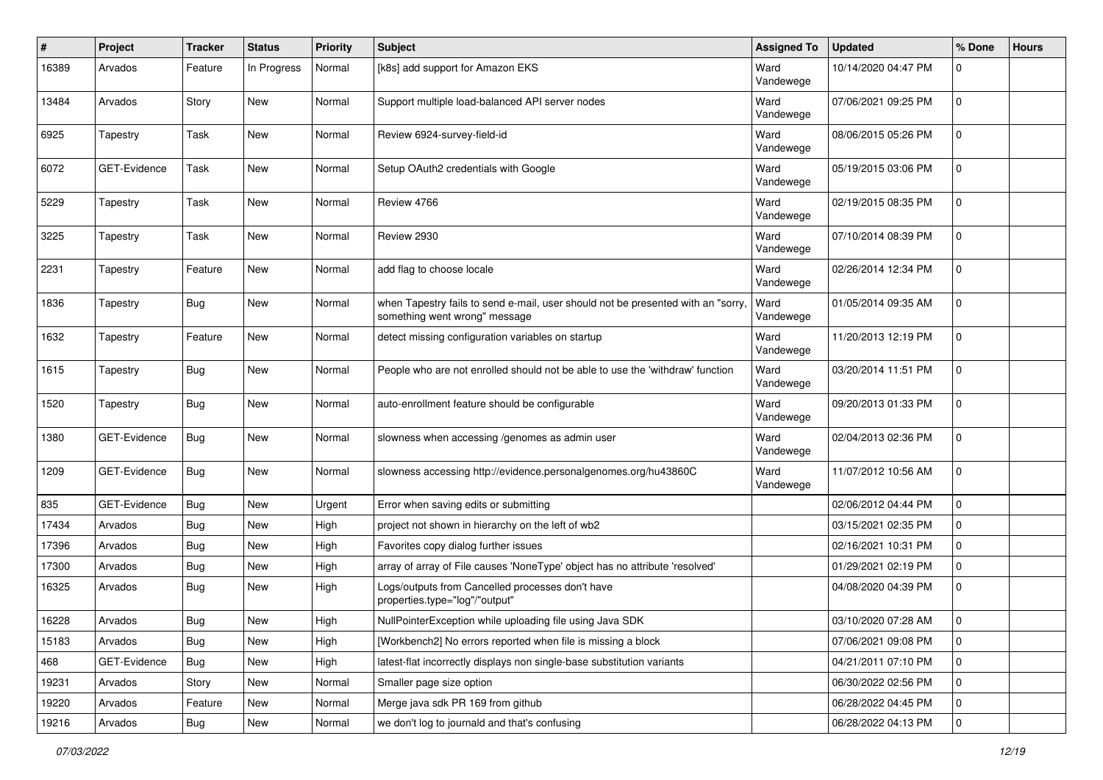| #     | Project             | <b>Tracker</b> | <b>Status</b> | <b>Priority</b> | <b>Subject</b>                                                                                                    | <b>Assigned To</b> | <b>Updated</b>      | % Done      | <b>Hours</b> |
|-------|---------------------|----------------|---------------|-----------------|-------------------------------------------------------------------------------------------------------------------|--------------------|---------------------|-------------|--------------|
| 16389 | Arvados             | Feature        | In Progress   | Normal          | [k8s] add support for Amazon EKS                                                                                  | Ward<br>Vandewege  | 10/14/2020 04:47 PM | 0           |              |
| 13484 | Arvados             | Story          | <b>New</b>    | Normal          | Support multiple load-balanced API server nodes                                                                   | Ward<br>Vandewege  | 07/06/2021 09:25 PM | 0           |              |
| 6925  | Tapestry            | Task           | <b>New</b>    | Normal          | Review 6924-survey-field-id                                                                                       | Ward<br>Vandewege  | 08/06/2015 05:26 PM | 0           |              |
| 6072  | GET-Evidence        | Task           | <b>New</b>    | Normal          | Setup OAuth2 credentials with Google                                                                              | Ward<br>Vandewege  | 05/19/2015 03:06 PM | 0           |              |
| 5229  | Tapestry            | Task           | <b>New</b>    | Normal          | Review 4766                                                                                                       | Ward<br>Vandewege  | 02/19/2015 08:35 PM | 0           |              |
| 3225  | Tapestry            | Task           | <b>New</b>    | Normal          | Review 2930                                                                                                       | Ward<br>Vandewege  | 07/10/2014 08:39 PM | 0           |              |
| 2231  | Tapestry            | Feature        | <b>New</b>    | Normal          | add flag to choose locale                                                                                         | Ward<br>Vandewege  | 02/26/2014 12:34 PM | 0           |              |
| 1836  | Tapestry            | Bug            | New           | Normal          | when Tapestry fails to send e-mail, user should not be presented with an "sorry,<br>something went wrong" message | Ward<br>Vandewege  | 01/05/2014 09:35 AM | 0           |              |
| 1632  | Tapestry            | Feature        | <b>New</b>    | Normal          | detect missing configuration variables on startup                                                                 | Ward<br>Vandewege  | 11/20/2013 12:19 PM | 0           |              |
| 1615  | Tapestry            | Bug            | <b>New</b>    | Normal          | People who are not enrolled should not be able to use the 'withdraw' function                                     | Ward<br>Vandewege  | 03/20/2014 11:51 PM | 0           |              |
| 1520  | Tapestry            | Bug            | <b>New</b>    | Normal          | auto-enrollment feature should be configurable                                                                    | Ward<br>Vandewege  | 09/20/2013 01:33 PM | 0           |              |
| 1380  | GET-Evidence        | Bug            | <b>New</b>    | Normal          | slowness when accessing /genomes as admin user                                                                    | Ward<br>Vandewege  | 02/04/2013 02:36 PM | 0           |              |
| 1209  | <b>GET-Evidence</b> | Bug            | <b>New</b>    | Normal          | slowness accessing http://evidence.personalgenomes.org/hu43860C                                                   | Ward<br>Vandewege  | 11/07/2012 10:56 AM | 0           |              |
| 835   | GET-Evidence        | Bug            | <b>New</b>    | Urgent          | Error when saving edits or submitting                                                                             |                    | 02/06/2012 04:44 PM | 0           |              |
| 17434 | Arvados             | Bug            | <b>New</b>    | High            | project not shown in hierarchy on the left of wb2                                                                 |                    | 03/15/2021 02:35 PM | 0           |              |
| 17396 | Arvados             | Bug            | New           | High            | Favorites copy dialog further issues                                                                              |                    | 02/16/2021 10:31 PM | 0           |              |
| 17300 | Arvados             | Bug            | New           | High            | array of array of File causes 'NoneType' object has no attribute 'resolved'                                       |                    | 01/29/2021 02:19 PM | 0           |              |
| 16325 | Arvados             | Bug            | New           | High            | Logs/outputs from Cancelled processes don't have<br>properties.type="log"/"output"                                |                    | 04/08/2020 04:39 PM | 0           |              |
| 16228 | Arvados             | Bug            | New           | High            | NullPointerException while uploading file using Java SDK                                                          |                    | 03/10/2020 07:28 AM | $\Omega$    |              |
| 15183 | Arvados             | <b>Bug</b>     | New           | High            | [Workbench2] No errors reported when file is missing a block                                                      |                    | 07/06/2021 09:08 PM | $\mathbf 0$ |              |
| 468   | GET-Evidence        | Bug            | New           | High            | latest-flat incorrectly displays non single-base substitution variants                                            |                    | 04/21/2011 07:10 PM | 0           |              |
| 19231 | Arvados             | Story          | New           | Normal          | Smaller page size option                                                                                          |                    | 06/30/2022 02:56 PM | 0           |              |
| 19220 | Arvados             | Feature        | <b>New</b>    | Normal          | Merge java sdk PR 169 from github                                                                                 |                    | 06/28/2022 04:45 PM | 0           |              |
| 19216 | Arvados             | Bug            | New           | Normal          | we don't log to journald and that's confusing                                                                     |                    | 06/28/2022 04:13 PM | 0           |              |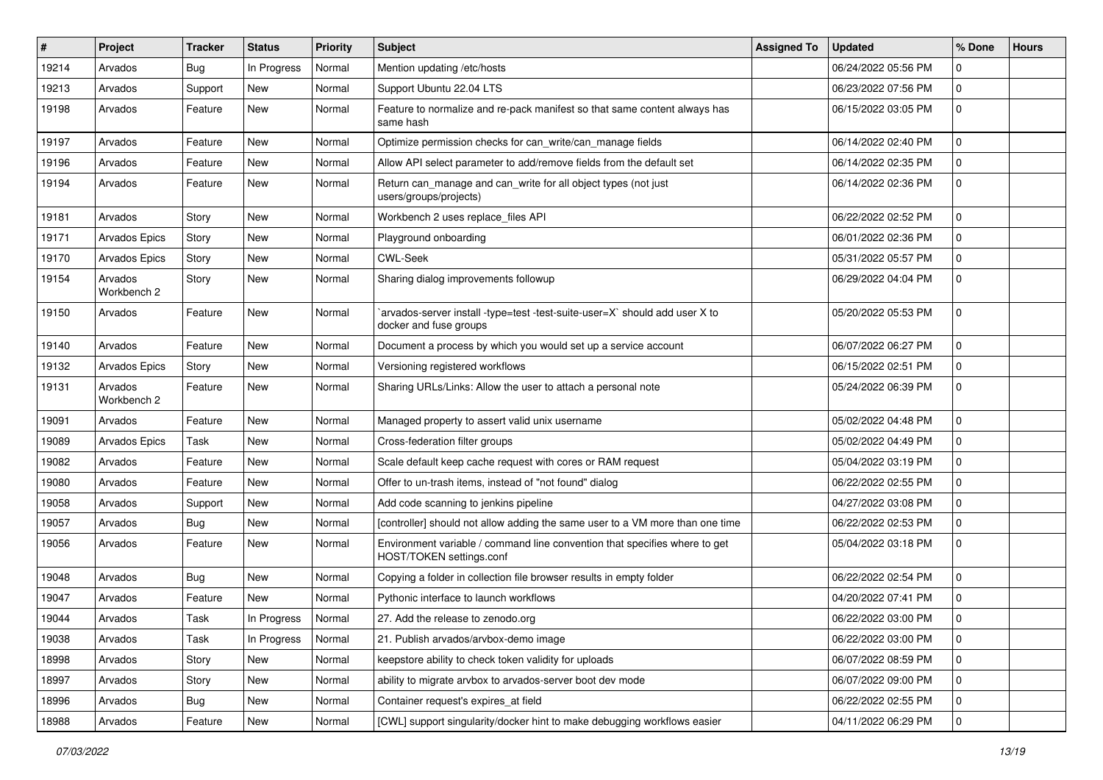| ∦     | Project                | <b>Tracker</b> | <b>Status</b> | <b>Priority</b> | Subject                                                                                                | <b>Assigned To</b> | <b>Updated</b>      | % Done      | <b>Hours</b> |
|-------|------------------------|----------------|---------------|-----------------|--------------------------------------------------------------------------------------------------------|--------------------|---------------------|-------------|--------------|
| 19214 | Arvados                | Bug            | In Progress   | Normal          | Mention updating /etc/hosts                                                                            |                    | 06/24/2022 05:56 PM | 0           |              |
| 19213 | Arvados                | Support        | <b>New</b>    | Normal          | Support Ubuntu 22.04 LTS                                                                               |                    | 06/23/2022 07:56 PM | 0           |              |
| 19198 | Arvados                | Feature        | New           | Normal          | Feature to normalize and re-pack manifest so that same content always has<br>same hash                 |                    | 06/15/2022 03:05 PM | 0           |              |
| 19197 | Arvados                | Feature        | <b>New</b>    | Normal          | Optimize permission checks for can_write/can_manage fields                                             |                    | 06/14/2022 02:40 PM | 0           |              |
| 19196 | Arvados                | Feature        | <b>New</b>    | Normal          | Allow API select parameter to add/remove fields from the default set                                   |                    | 06/14/2022 02:35 PM | 0           |              |
| 19194 | Arvados                | Feature        | New           | Normal          | Return can_manage and can_write for all object types (not just<br>users/groups/projects)               |                    | 06/14/2022 02:36 PM | 0           |              |
| 19181 | Arvados                | Story          | <b>New</b>    | Normal          | Workbench 2 uses replace files API                                                                     |                    | 06/22/2022 02:52 PM | 0           |              |
| 19171 | Arvados Epics          | Story          | <b>New</b>    | Normal          | Playground onboarding                                                                                  |                    | 06/01/2022 02:36 PM | 0           |              |
| 19170 | <b>Arvados Epics</b>   | Story          | New           | Normal          | <b>CWL-Seek</b>                                                                                        |                    | 05/31/2022 05:57 PM | 0           |              |
| 19154 | Arvados<br>Workbench 2 | Story          | New           | Normal          | Sharing dialog improvements followup                                                                   |                    | 06/29/2022 04:04 PM | 0           |              |
| 19150 | Arvados                | Feature        | <b>New</b>    | Normal          | `arvados-server install -type=test -test-suite-user=X` should add user X to<br>docker and fuse groups  |                    | 05/20/2022 05:53 PM | 0           |              |
| 19140 | Arvados                | Feature        | <b>New</b>    | Normal          | Document a process by which you would set up a service account                                         |                    | 06/07/2022 06:27 PM | 0           |              |
| 19132 | <b>Arvados Epics</b>   | Story          | <b>New</b>    | Normal          | Versioning registered workflows                                                                        |                    | 06/15/2022 02:51 PM | 0           |              |
| 19131 | Arvados<br>Workbench 2 | Feature        | <b>New</b>    | Normal          | Sharing URLs/Links: Allow the user to attach a personal note                                           |                    | 05/24/2022 06:39 PM | 0           |              |
| 19091 | Arvados                | Feature        | <b>New</b>    | Normal          | Managed property to assert valid unix username                                                         |                    | 05/02/2022 04:48 PM | 0           |              |
| 19089 | Arvados Epics          | Task           | <b>New</b>    | Normal          | Cross-federation filter groups                                                                         |                    | 05/02/2022 04:49 PM | 0           |              |
| 19082 | Arvados                | Feature        | <b>New</b>    | Normal          | Scale default keep cache request with cores or RAM request                                             |                    | 05/04/2022 03:19 PM | 0           |              |
| 19080 | Arvados                | Feature        | New           | Normal          | Offer to un-trash items, instead of "not found" dialog                                                 |                    | 06/22/2022 02:55 PM | 0           |              |
| 19058 | Arvados                | Support        | New           | Normal          | Add code scanning to jenkins pipeline                                                                  |                    | 04/27/2022 03:08 PM | 0           |              |
| 19057 | Arvados                | Bug            | <b>New</b>    | Normal          | [controller] should not allow adding the same user to a VM more than one time                          |                    | 06/22/2022 02:53 PM | 0           |              |
| 19056 | Arvados                | Feature        | <b>New</b>    | Normal          | Environment variable / command line convention that specifies where to get<br>HOST/TOKEN settings.conf |                    | 05/04/2022 03:18 PM | 0           |              |
| 19048 | Arvados                | Bug            | <b>New</b>    | Normal          | Copying a folder in collection file browser results in empty folder                                    |                    | 06/22/2022 02:54 PM | 0           |              |
| 19047 | Arvados                | Feature        | <b>New</b>    | Normal          | Pythonic interface to launch workflows                                                                 |                    | 04/20/2022 07:41 PM | 0           |              |
| 19044 | Arvados                | Task           | In Progress   | Normal          | 27. Add the release to zenodo.org                                                                      |                    | 06/22/2022 03:00 PM | $\mathbf 0$ |              |
| 19038 | Arvados                | Task           | In Progress   | Normal          | 21. Publish arvados/arvbox-demo image                                                                  |                    | 06/22/2022 03:00 PM | 0           |              |
| 18998 | Arvados                | Story          | New           | Normal          | keepstore ability to check token validity for uploads                                                  |                    | 06/07/2022 08:59 PM | 0           |              |
| 18997 | Arvados                | Story          | New           | Normal          | ability to migrate arvbox to arvados-server boot dev mode                                              |                    | 06/07/2022 09:00 PM | 0           |              |
| 18996 | Arvados                | Bug            | New           | Normal          | Container request's expires_at field                                                                   |                    | 06/22/2022 02:55 PM | 0           |              |
| 18988 | Arvados                | Feature        | New           | Normal          | [CWL] support singularity/docker hint to make debugging workflows easier                               |                    | 04/11/2022 06:29 PM | 0           |              |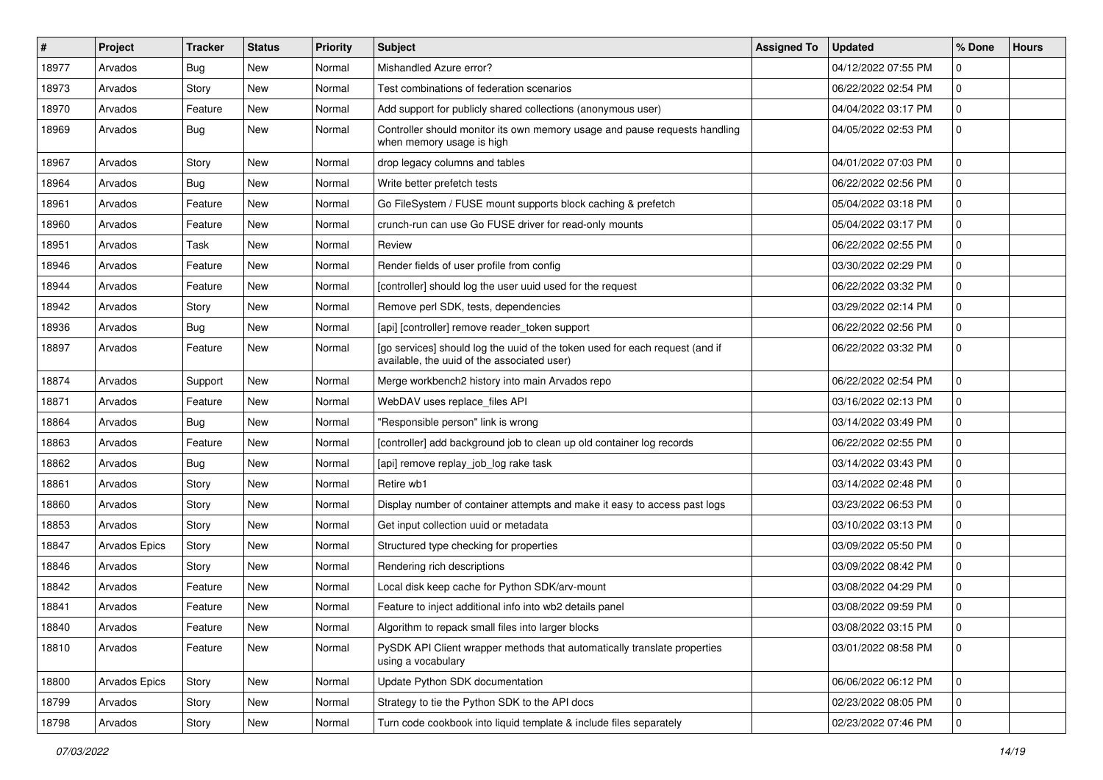| #     | Project       | <b>Tracker</b> | <b>Status</b> | <b>Priority</b> | <b>Subject</b>                                                                                                              | <b>Assigned To</b> | <b>Updated</b>      | % Done      | <b>Hours</b> |
|-------|---------------|----------------|---------------|-----------------|-----------------------------------------------------------------------------------------------------------------------------|--------------------|---------------------|-------------|--------------|
| 18977 | Arvados       | Bug            | <b>New</b>    | Normal          | Mishandled Azure error?                                                                                                     |                    | 04/12/2022 07:55 PM | 0           |              |
| 18973 | Arvados       | Story          | <b>New</b>    | Normal          | Test combinations of federation scenarios                                                                                   |                    | 06/22/2022 02:54 PM | 0           |              |
| 18970 | Arvados       | Feature        | <b>New</b>    | Normal          | Add support for publicly shared collections (anonymous user)                                                                |                    | 04/04/2022 03:17 PM | 0           |              |
| 18969 | Arvados       | Bug            | <b>New</b>    | Normal          | Controller should monitor its own memory usage and pause requests handling<br>when memory usage is high                     |                    | 04/05/2022 02:53 PM | 0           |              |
| 18967 | Arvados       | Story          | <b>New</b>    | Normal          | drop legacy columns and tables                                                                                              |                    | 04/01/2022 07:03 PM | 0           |              |
| 18964 | Arvados       | Bug            | <b>New</b>    | Normal          | Write better prefetch tests                                                                                                 |                    | 06/22/2022 02:56 PM | 0           |              |
| 18961 | Arvados       | Feature        | <b>New</b>    | Normal          | Go FileSystem / FUSE mount supports block caching & prefetch                                                                |                    | 05/04/2022 03:18 PM | 0           |              |
| 18960 | Arvados       | Feature        | <b>New</b>    | Normal          | crunch-run can use Go FUSE driver for read-only mounts                                                                      |                    | 05/04/2022 03:17 PM | 0           |              |
| 18951 | Arvados       | Task           | <b>New</b>    | Normal          | Review                                                                                                                      |                    | 06/22/2022 02:55 PM | 0           |              |
| 18946 | Arvados       | Feature        | <b>New</b>    | Normal          | Render fields of user profile from config                                                                                   |                    | 03/30/2022 02:29 PM | 0           |              |
| 18944 | Arvados       | Feature        | <b>New</b>    | Normal          | [controller] should log the user uuid used for the request                                                                  |                    | 06/22/2022 03:32 PM | 0           |              |
| 18942 | Arvados       | Story          | <b>New</b>    | Normal          | Remove perl SDK, tests, dependencies                                                                                        |                    | 03/29/2022 02:14 PM | 0           |              |
| 18936 | Arvados       | Bug            | <b>New</b>    | Normal          | [api] [controller] remove reader_token support                                                                              |                    | 06/22/2022 02:56 PM | 0           |              |
| 18897 | Arvados       | Feature        | <b>New</b>    | Normal          | [go services] should log the uuid of the token used for each request (and if<br>available, the uuid of the associated user) |                    | 06/22/2022 03:32 PM | 0           |              |
| 18874 | Arvados       | Support        | <b>New</b>    | Normal          | Merge workbench2 history into main Arvados repo                                                                             |                    | 06/22/2022 02:54 PM | 0           |              |
| 18871 | Arvados       | Feature        | <b>New</b>    | Normal          | WebDAV uses replace_files API                                                                                               |                    | 03/16/2022 02:13 PM | 0           |              |
| 18864 | Arvados       | Bug            | <b>New</b>    | Normal          | "Responsible person" link is wrong                                                                                          |                    | 03/14/2022 03:49 PM | 0           |              |
| 18863 | Arvados       | Feature        | <b>New</b>    | Normal          | [controller] add background job to clean up old container log records                                                       |                    | 06/22/2022 02:55 PM | 0           |              |
| 18862 | Arvados       | Bug            | <b>New</b>    | Normal          | [api] remove replay_job_log rake task                                                                                       |                    | 03/14/2022 03:43 PM | 0           |              |
| 18861 | Arvados       | Story          | <b>New</b>    | Normal          | Retire wb1                                                                                                                  |                    | 03/14/2022 02:48 PM | 0           |              |
| 18860 | Arvados       | Story          | <b>New</b>    | Normal          | Display number of container attempts and make it easy to access past logs                                                   |                    | 03/23/2022 06:53 PM | 0           |              |
| 18853 | Arvados       | Story          | <b>New</b>    | Normal          | Get input collection uuid or metadata                                                                                       |                    | 03/10/2022 03:13 PM | 0           |              |
| 18847 | Arvados Epics | Story          | <b>New</b>    | Normal          | Structured type checking for properties                                                                                     |                    | 03/09/2022 05:50 PM | 0           |              |
| 18846 | Arvados       | Story          | <b>New</b>    | Normal          | Rendering rich descriptions                                                                                                 |                    | 03/09/2022 08:42 PM | 0           |              |
| 18842 | Arvados       | Feature        | <b>New</b>    | Normal          | Local disk keep cache for Python SDK/arv-mount                                                                              |                    | 03/08/2022 04:29 PM | 0           |              |
| 18841 | Arvados       | Feature        | <b>New</b>    | Normal          | Feature to inject additional info into wb2 details panel                                                                    |                    | 03/08/2022 09:59 PM | 0           |              |
| 18840 | Arvados       | Feature        | New           | Normal          | Algorithm to repack small files into larger blocks                                                                          |                    | 03/08/2022 03:15 PM | 0           |              |
| 18810 | Arvados       | Feature        | New           | Normal          | PySDK API Client wrapper methods that automatically translate properties<br>using a vocabulary                              |                    | 03/01/2022 08:58 PM | 0           |              |
| 18800 | Arvados Epics | Story          | New           | Normal          | Update Python SDK documentation                                                                                             |                    | 06/06/2022 06:12 PM | 0           |              |
| 18799 | Arvados       | Story          | New           | Normal          | Strategy to tie the Python SDK to the API docs                                                                              |                    | 02/23/2022 08:05 PM | 0           |              |
| 18798 | Arvados       | Story          | New           | Normal          | Turn code cookbook into liquid template & include files separately                                                          |                    | 02/23/2022 07:46 PM | $\mathbf 0$ |              |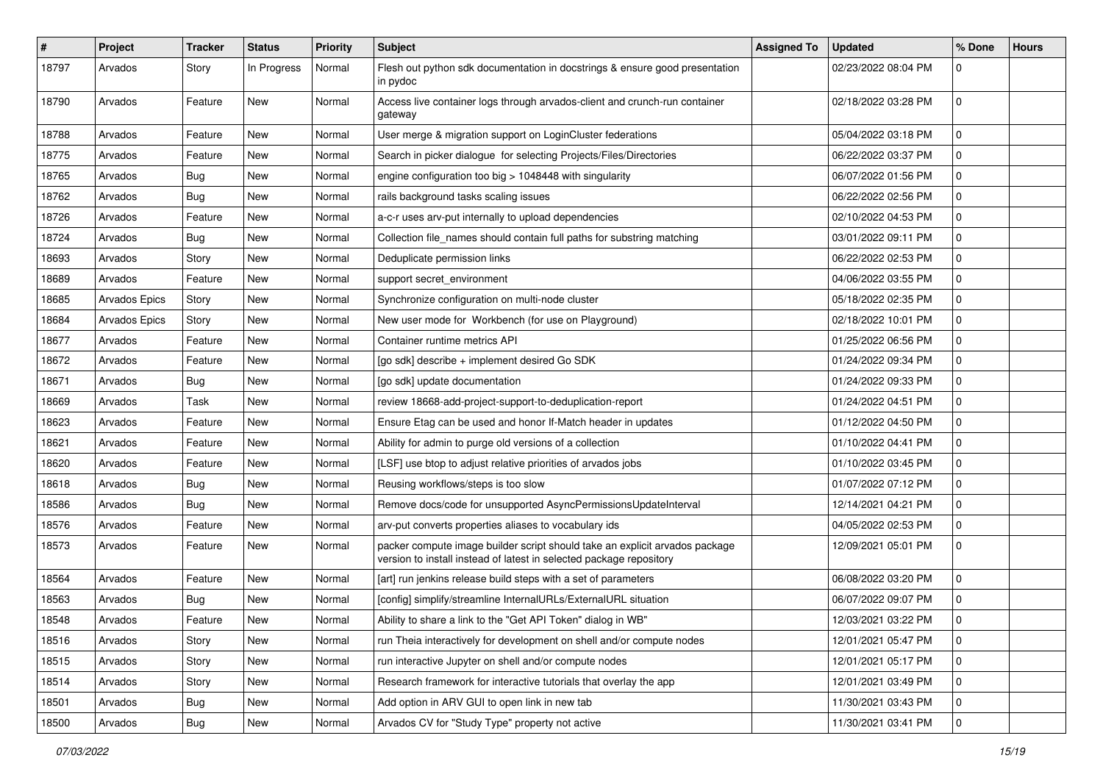| $\#$  | Project       | <b>Tracker</b> | <b>Status</b> | <b>Priority</b> | <b>Subject</b>                                                                                                                                     | <b>Assigned To</b> | <b>Updated</b>      | % Done      | <b>Hours</b> |
|-------|---------------|----------------|---------------|-----------------|----------------------------------------------------------------------------------------------------------------------------------------------------|--------------------|---------------------|-------------|--------------|
| 18797 | Arvados       | Story          | In Progress   | Normal          | Flesh out python sdk documentation in docstrings & ensure good presentation<br>in pydoc                                                            |                    | 02/23/2022 08:04 PM | 0           |              |
| 18790 | Arvados       | Feature        | New           | Normal          | Access live container logs through arvados-client and crunch-run container<br>gateway                                                              |                    | 02/18/2022 03:28 PM | 0           |              |
| 18788 | Arvados       | Feature        | <b>New</b>    | Normal          | User merge & migration support on LoginCluster federations                                                                                         |                    | 05/04/2022 03:18 PM | 0           |              |
| 18775 | Arvados       | Feature        | New           | Normal          | Search in picker dialogue for selecting Projects/Files/Directories                                                                                 |                    | 06/22/2022 03:37 PM | 0           |              |
| 18765 | Arvados       | <b>Bug</b>     | New           | Normal          | engine configuration too big > 1048448 with singularity                                                                                            |                    | 06/07/2022 01:56 PM | 0           |              |
| 18762 | Arvados       | Bug            | New           | Normal          | rails background tasks scaling issues                                                                                                              |                    | 06/22/2022 02:56 PM | 0           |              |
| 18726 | Arvados       | Feature        | New           | Normal          | a-c-r uses arv-put internally to upload dependencies                                                                                               |                    | 02/10/2022 04:53 PM | 0           |              |
| 18724 | Arvados       | Bug            | New           | Normal          | Collection file_names should contain full paths for substring matching                                                                             |                    | 03/01/2022 09:11 PM | 0           |              |
| 18693 | Arvados       | Story          | New           | Normal          | Deduplicate permission links                                                                                                                       |                    | 06/22/2022 02:53 PM | 0           |              |
| 18689 | Arvados       | Feature        | <b>New</b>    | Normal          | support secret_environment                                                                                                                         |                    | 04/06/2022 03:55 PM | 0           |              |
| 18685 | Arvados Epics | Story          | New           | Normal          | Synchronize configuration on multi-node cluster                                                                                                    |                    | 05/18/2022 02:35 PM | 0           |              |
| 18684 | Arvados Epics | Story          | New           | Normal          | New user mode for Workbench (for use on Playground)                                                                                                |                    | 02/18/2022 10:01 PM | 0           |              |
| 18677 | Arvados       | Feature        | New           | Normal          | Container runtime metrics API                                                                                                                      |                    | 01/25/2022 06:56 PM | 0           |              |
| 18672 | Arvados       | Feature        | New           | Normal          | [go sdk] describe + implement desired Go SDK                                                                                                       |                    | 01/24/2022 09:34 PM | $\mathbf 0$ |              |
| 18671 | Arvados       | Bug            | New           | Normal          | [go sdk] update documentation                                                                                                                      |                    | 01/24/2022 09:33 PM | 0           |              |
| 18669 | Arvados       | Task           | New           | Normal          | review 18668-add-project-support-to-deduplication-report                                                                                           |                    | 01/24/2022 04:51 PM | 0           |              |
| 18623 | Arvados       | Feature        | <b>New</b>    | Normal          | Ensure Etag can be used and honor If-Match header in updates                                                                                       |                    | 01/12/2022 04:50 PM | 0           |              |
| 18621 | Arvados       | Feature        | New           | Normal          | Ability for admin to purge old versions of a collection                                                                                            |                    | 01/10/2022 04:41 PM | 0           |              |
| 18620 | Arvados       | Feature        | New           | Normal          | [LSF] use btop to adjust relative priorities of arvados jobs                                                                                       |                    | 01/10/2022 03:45 PM | 0           |              |
| 18618 | Arvados       | Bug            | New           | Normal          | Reusing workflows/steps is too slow                                                                                                                |                    | 01/07/2022 07:12 PM | 0           |              |
| 18586 | Arvados       | Bug            | New           | Normal          | Remove docs/code for unsupported AsyncPermissionsUpdateInterval                                                                                    |                    | 12/14/2021 04:21 PM | 0           |              |
| 18576 | Arvados       | Feature        | New           | Normal          | arv-put converts properties aliases to vocabulary ids                                                                                              |                    | 04/05/2022 02:53 PM | 0           |              |
| 18573 | Arvados       | Feature        | New           | Normal          | packer compute image builder script should take an explicit arvados package<br>version to install instead of latest in selected package repository |                    | 12/09/2021 05:01 PM | 0           |              |
| 18564 | Arvados       | Feature        | New           | Normal          | [art] run jenkins release build steps with a set of parameters                                                                                     |                    | 06/08/2022 03:20 PM | 0           |              |
| 18563 | Arvados       | <b>Bug</b>     | New           | Normal          | [config] simplify/streamline InternalURLs/ExternalURL situation                                                                                    |                    | 06/07/2022 09:07 PM | 0           |              |
| 18548 | Arvados       | Feature        | New           | Normal          | Ability to share a link to the "Get API Token" dialog in WB"                                                                                       |                    | 12/03/2021 03:22 PM | $\mathbf 0$ |              |
| 18516 | Arvados       | Story          | New           | Normal          | run Theia interactively for development on shell and/or compute nodes                                                                              |                    | 12/01/2021 05:47 PM | $\mathbf 0$ |              |
| 18515 | Arvados       | Story          | New           | Normal          | run interactive Jupyter on shell and/or compute nodes                                                                                              |                    | 12/01/2021 05:17 PM | 0           |              |
| 18514 | Arvados       | Story          | New           | Normal          | Research framework for interactive tutorials that overlay the app                                                                                  |                    | 12/01/2021 03:49 PM | 0           |              |
| 18501 | Arvados       | <b>Bug</b>     | New           | Normal          | Add option in ARV GUI to open link in new tab                                                                                                      |                    | 11/30/2021 03:43 PM | 0           |              |
| 18500 | Arvados       | <b>Bug</b>     | New           | Normal          | Arvados CV for "Study Type" property not active                                                                                                    |                    | 11/30/2021 03:41 PM | $\mathbf 0$ |              |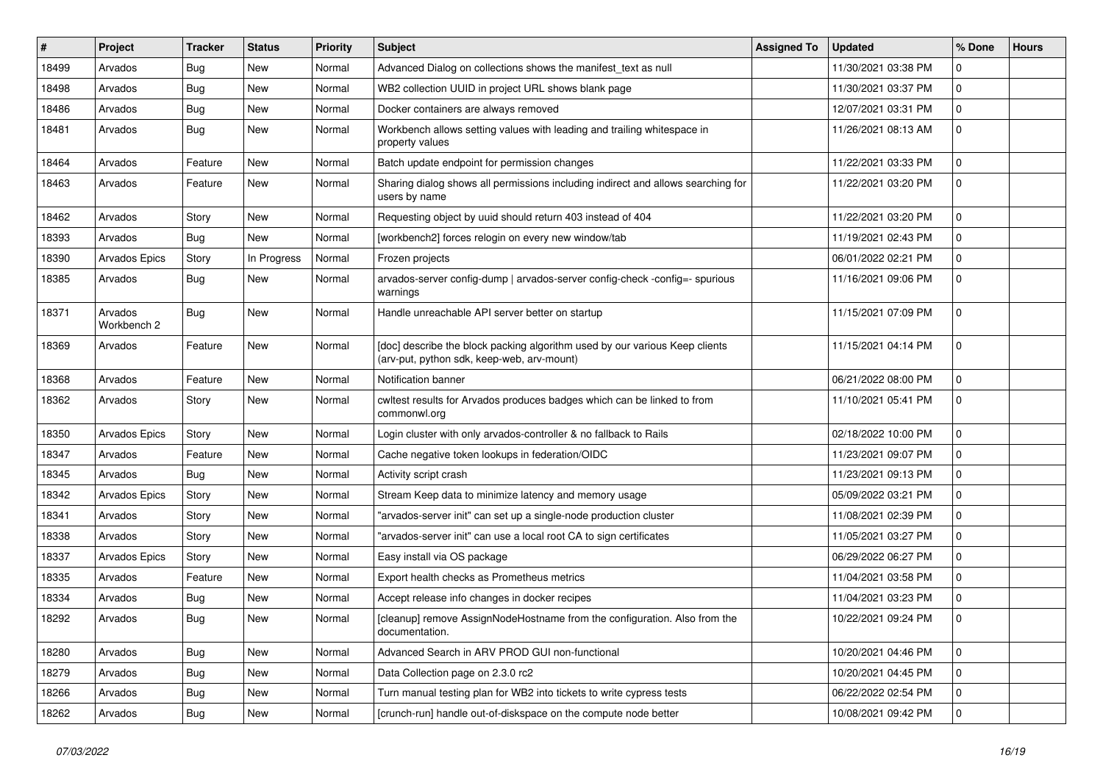| $\#$  | Project                | <b>Tracker</b> | <b>Status</b> | <b>Priority</b> | Subject                                                                                                                   | <b>Assigned To</b> | <b>Updated</b>      | % Done       | <b>Hours</b> |
|-------|------------------------|----------------|---------------|-----------------|---------------------------------------------------------------------------------------------------------------------------|--------------------|---------------------|--------------|--------------|
| 18499 | Arvados                | Bug            | New           | Normal          | Advanced Dialog on collections shows the manifest_text as null                                                            |                    | 11/30/2021 03:38 PM | 0            |              |
| 18498 | Arvados                | Bug            | <b>New</b>    | Normal          | WB2 collection UUID in project URL shows blank page                                                                       |                    | 11/30/2021 03:37 PM | 0            |              |
| 18486 | Arvados                | Bug            | New           | Normal          | Docker containers are always removed                                                                                      |                    | 12/07/2021 03:31 PM | 0            |              |
| 18481 | Arvados                | Bug            | New           | Normal          | Workbench allows setting values with leading and trailing whitespace in<br>property values                                |                    | 11/26/2021 08:13 AM | 0            |              |
| 18464 | Arvados                | Feature        | New           | Normal          | Batch update endpoint for permission changes                                                                              |                    | 11/22/2021 03:33 PM | 0            |              |
| 18463 | Arvados                | Feature        | New           | Normal          | Sharing dialog shows all permissions including indirect and allows searching for<br>users by name                         |                    | 11/22/2021 03:20 PM | 0            |              |
| 18462 | Arvados                | Story          | <b>New</b>    | Normal          | Requesting object by uuid should return 403 instead of 404                                                                |                    | 11/22/2021 03:20 PM | 0            |              |
| 18393 | Arvados                | Bug            | New           | Normal          | [workbench2] forces relogin on every new window/tab                                                                       |                    | 11/19/2021 02:43 PM | 0            |              |
| 18390 | <b>Arvados Epics</b>   | Story          | In Progress   | Normal          | Frozen projects                                                                                                           |                    | 06/01/2022 02:21 PM | 0            |              |
| 18385 | Arvados                | Bug            | New           | Normal          | arvados-server config-dump   arvados-server config-check -config=- spurious<br>warnings                                   |                    | 11/16/2021 09:06 PM | 0            |              |
| 18371 | Arvados<br>Workbench 2 | Bug            | New           | Normal          | Handle unreachable API server better on startup                                                                           |                    | 11/15/2021 07:09 PM | 0            |              |
| 18369 | Arvados                | Feature        | <b>New</b>    | Normal          | [doc] describe the block packing algorithm used by our various Keep clients<br>(arv-put, python sdk, keep-web, arv-mount) |                    | 11/15/2021 04:14 PM | 0            |              |
| 18368 | Arvados                | Feature        | <b>New</b>    | Normal          | Notification banner                                                                                                       |                    | 06/21/2022 08:00 PM | $\mathbf 0$  |              |
| 18362 | Arvados                | Story          | New           | Normal          | cwltest results for Arvados produces badges which can be linked to from<br>commonwl.org                                   |                    | 11/10/2021 05:41 PM | 0            |              |
| 18350 | Arvados Epics          | Story          | <b>New</b>    | Normal          | Login cluster with only arvados-controller & no fallback to Rails                                                         |                    | 02/18/2022 10:00 PM | 0            |              |
| 18347 | Arvados                | Feature        | New           | Normal          | Cache negative token lookups in federation/OIDC                                                                           |                    | 11/23/2021 09:07 PM | $\Omega$     |              |
| 18345 | Arvados                | Bug            | New           | Normal          | Activity script crash                                                                                                     |                    | 11/23/2021 09:13 PM | 0            |              |
| 18342 | Arvados Epics          | Story          | New           | Normal          | Stream Keep data to minimize latency and memory usage                                                                     |                    | 05/09/2022 03:21 PM | 0            |              |
| 18341 | Arvados                | Story          | New           | Normal          | "arvados-server init" can set up a single-node production cluster                                                         |                    | 11/08/2021 02:39 PM | 0            |              |
| 18338 | Arvados                | Story          | <b>New</b>    | Normal          | "arvados-server init" can use a local root CA to sign certificates                                                        |                    | 11/05/2021 03:27 PM | 0            |              |
| 18337 | Arvados Epics          | Story          | New           | Normal          | Easy install via OS package                                                                                               |                    | 06/29/2022 06:27 PM | 0            |              |
| 18335 | Arvados                | Feature        | <b>New</b>    | Normal          | Export health checks as Prometheus metrics                                                                                |                    | 11/04/2021 03:58 PM | 0            |              |
| 18334 | Arvados                | Bug            | New           | Normal          | Accept release info changes in docker recipes                                                                             |                    | 11/04/2021 03:23 PM | 0            |              |
| 18292 | Arvados                | <b>Bug</b>     | New           | Normal          | [cleanup] remove AssignNodeHostname from the configuration. Also from the<br>documentation.                               |                    | 10/22/2021 09:24 PM | $\Omega$     |              |
| 18280 | Arvados                | Bug            | New           | Normal          | Advanced Search in ARV PROD GUI non-functional                                                                            |                    | 10/20/2021 04:46 PM | $\mathbf 0$  |              |
| 18279 | Arvados                | Bug            | New           | Normal          | Data Collection page on 2.3.0 rc2                                                                                         |                    | 10/20/2021 04:45 PM | 0            |              |
| 18266 | Arvados                | <b>Bug</b>     | New           | Normal          | Turn manual testing plan for WB2 into tickets to write cypress tests                                                      |                    | 06/22/2022 02:54 PM | $\mathbf 0$  |              |
| 18262 | Arvados                | <b>Bug</b>     | New           | Normal          | [crunch-run] handle out-of-diskspace on the compute node better                                                           |                    | 10/08/2021 09:42 PM | $\mathbf{0}$ |              |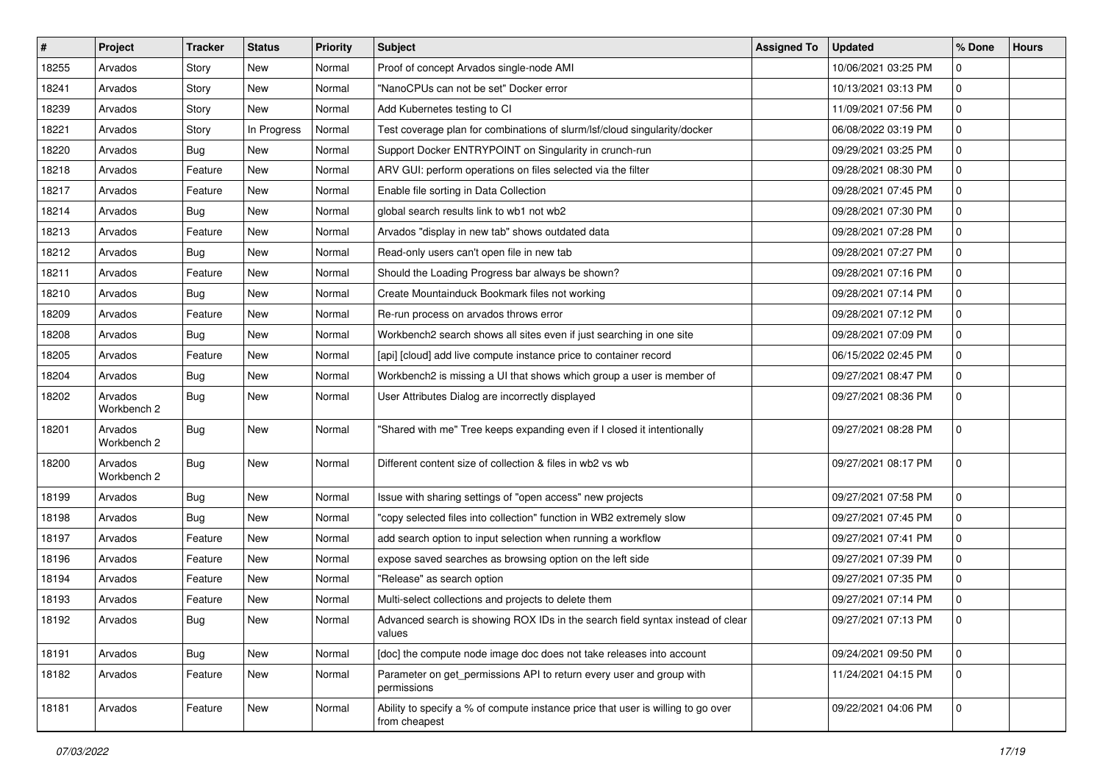| $\vert$ # | Project                | <b>Tracker</b> | <b>Status</b> | <b>Priority</b> | <b>Subject</b>                                                                                    | <b>Assigned To</b> | <b>Updated</b>      | % Done      | <b>Hours</b> |
|-----------|------------------------|----------------|---------------|-----------------|---------------------------------------------------------------------------------------------------|--------------------|---------------------|-------------|--------------|
| 18255     | Arvados                | Story          | <b>New</b>    | Normal          | Proof of concept Arvados single-node AMI                                                          |                    | 10/06/2021 03:25 PM | 0           |              |
| 18241     | Arvados                | Story          | <b>New</b>    | Normal          | "NanoCPUs can not be set" Docker error                                                            |                    | 10/13/2021 03:13 PM | 0           |              |
| 18239     | Arvados                | Story          | New           | Normal          | Add Kubernetes testing to CI                                                                      |                    | 11/09/2021 07:56 PM | $\mathbf 0$ |              |
| 18221     | Arvados                | Story          | In Progress   | Normal          | Test coverage plan for combinations of slurm/lsf/cloud singularity/docker                         |                    | 06/08/2022 03:19 PM | 0           |              |
| 18220     | Arvados                | Bug            | <b>New</b>    | Normal          | Support Docker ENTRYPOINT on Singularity in crunch-run                                            |                    | 09/29/2021 03:25 PM | 0           |              |
| 18218     | Arvados                | Feature        | <b>New</b>    | Normal          | ARV GUI: perform operations on files selected via the filter                                      |                    | 09/28/2021 08:30 PM | 0           |              |
| 18217     | Arvados                | Feature        | New           | Normal          | Enable file sorting in Data Collection                                                            |                    | 09/28/2021 07:45 PM | 0           |              |
| 18214     | Arvados                | Bug            | New           | Normal          | global search results link to wb1 not wb2                                                         |                    | 09/28/2021 07:30 PM | 0           |              |
| 18213     | Arvados                | Feature        | New           | Normal          | Arvados "display in new tab" shows outdated data                                                  |                    | 09/28/2021 07:28 PM | 0           |              |
| 18212     | Arvados                | Bug            | <b>New</b>    | Normal          | Read-only users can't open file in new tab                                                        |                    | 09/28/2021 07:27 PM | 0           |              |
| 18211     | Arvados                | Feature        | New           | Normal          | Should the Loading Progress bar always be shown?                                                  |                    | 09/28/2021 07:16 PM | 0           |              |
| 18210     | Arvados                | Bug            | New           | Normal          | Create Mountainduck Bookmark files not working                                                    |                    | 09/28/2021 07:14 PM | 0           |              |
| 18209     | Arvados                | Feature        | New           | Normal          | Re-run process on arvados throws error                                                            |                    | 09/28/2021 07:12 PM | 0           |              |
| 18208     | Arvados                | Bug            | <b>New</b>    | Normal          | Workbench2 search shows all sites even if just searching in one site                              |                    | 09/28/2021 07:09 PM | 0           |              |
| 18205     | Arvados                | Feature        | <b>New</b>    | Normal          | [api] [cloud] add live compute instance price to container record                                 |                    | 06/15/2022 02:45 PM | 0           |              |
| 18204     | Arvados                | Bug            | New           | Normal          | Workbench2 is missing a UI that shows which group a user is member of                             |                    | 09/27/2021 08:47 PM | 0           |              |
| 18202     | Arvados<br>Workbench 2 | Bug            | New           | Normal          | User Attributes Dialog are incorrectly displayed                                                  |                    | 09/27/2021 08:36 PM | 0           |              |
| 18201     | Arvados<br>Workbench 2 | Bug            | New           | Normal          | "Shared with me" Tree keeps expanding even if I closed it intentionally                           |                    | 09/27/2021 08:28 PM | 0           |              |
| 18200     | Arvados<br>Workbench 2 | Bug            | <b>New</b>    | Normal          | Different content size of collection & files in wb2 vs wb                                         |                    | 09/27/2021 08:17 PM | 0           |              |
| 18199     | Arvados                | Bug            | <b>New</b>    | Normal          | Issue with sharing settings of "open access" new projects                                         |                    | 09/27/2021 07:58 PM | 0           |              |
| 18198     | Arvados                | Bug            | New           | Normal          | "copy selected files into collection" function in WB2 extremely slow                              |                    | 09/27/2021 07:45 PM | 0           |              |
| 18197     | Arvados                | Feature        | New           | Normal          | add search option to input selection when running a workflow                                      |                    | 09/27/2021 07:41 PM | 0           |              |
| 18196     | Arvados                | Feature        | New           | Normal          | expose saved searches as browsing option on the left side                                         |                    | 09/27/2021 07:39 PM | 0           |              |
| 18194     | Arvados                | Feature        | New           | Normal          | "Release" as search option                                                                        |                    | 09/27/2021 07:35 PM | 0           |              |
| 18193     | Arvados                | Feature        | New           | Normal          | Multi-select collections and projects to delete them                                              |                    | 09/27/2021 07:14 PM | 0           |              |
| 18192     | Arvados                | Bug            | New           | Normal          | Advanced search is showing ROX IDs in the search field syntax instead of clear<br>values          |                    | 09/27/2021 07:13 PM | $\mathbf 0$ |              |
| 18191     | Arvados                | Bug            | New           | Normal          | [doc] the compute node image doc does not take releases into account                              |                    | 09/24/2021 09:50 PM | 0           |              |
| 18182     | Arvados                | Feature        | New           | Normal          | Parameter on get_permissions API to return every user and group with<br>permissions               |                    | 11/24/2021 04:15 PM | $\mathbf 0$ |              |
| 18181     | Arvados                | Feature        | New           | Normal          | Ability to specify a % of compute instance price that user is willing to go over<br>from cheapest |                    | 09/22/2021 04:06 PM | $\mathbf 0$ |              |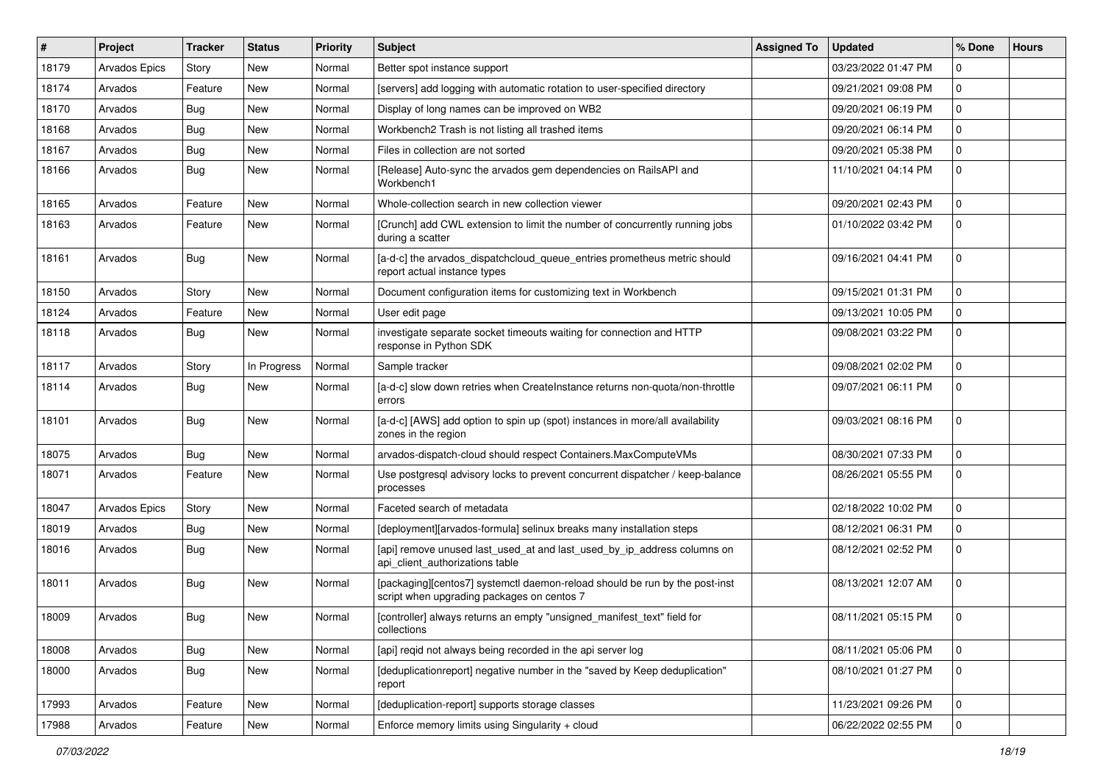| $\#$  | Project       | <b>Tracker</b> | <b>Status</b> | Priority | <b>Subject</b>                                                                                                            | <b>Assigned To</b> | <b>Updated</b>      | % Done      | <b>Hours</b> |
|-------|---------------|----------------|---------------|----------|---------------------------------------------------------------------------------------------------------------------------|--------------------|---------------------|-------------|--------------|
| 18179 | Arvados Epics | Story          | <b>New</b>    | Normal   | Better spot instance support                                                                                              |                    | 03/23/2022 01:47 PM | 0           |              |
| 18174 | Arvados       | Feature        | <b>New</b>    | Normal   | [servers] add logging with automatic rotation to user-specified directory                                                 |                    | 09/21/2021 09:08 PM | 0           |              |
| 18170 | Arvados       | Bug            | New           | Normal   | Display of long names can be improved on WB2                                                                              |                    | 09/20/2021 06:19 PM | 0           |              |
| 18168 | Arvados       | Bug            | <b>New</b>    | Normal   | Workbench2 Trash is not listing all trashed items                                                                         |                    | 09/20/2021 06:14 PM | 0           |              |
| 18167 | Arvados       | Bug            | <b>New</b>    | Normal   | Files in collection are not sorted                                                                                        |                    | 09/20/2021 05:38 PM | 0           |              |
| 18166 | Arvados       | Bug            | <b>New</b>    | Normal   | [Release] Auto-sync the arvados gem dependencies on RailsAPI and<br>Workbench1                                            |                    | 11/10/2021 04:14 PM | 0           |              |
| 18165 | Arvados       | Feature        | <b>New</b>    | Normal   | Whole-collection search in new collection viewer                                                                          |                    | 09/20/2021 02:43 PM | 0           |              |
| 18163 | Arvados       | Feature        | <b>New</b>    | Normal   | [Crunch] add CWL extension to limit the number of concurrently running jobs<br>during a scatter                           |                    | 01/10/2022 03:42 PM | 0           |              |
| 18161 | Arvados       | Bug            | New           | Normal   | [a-d-c] the arvados_dispatchcloud_queue_entries prometheus metric should<br>report actual instance types                  |                    | 09/16/2021 04:41 PM | 0           |              |
| 18150 | Arvados       | Story          | <b>New</b>    | Normal   | Document configuration items for customizing text in Workbench                                                            |                    | 09/15/2021 01:31 PM | 0           |              |
| 18124 | Arvados       | Feature        | <b>New</b>    | Normal   | User edit page                                                                                                            |                    | 09/13/2021 10:05 PM | 0           |              |
| 18118 | Arvados       | <b>Bug</b>     | New           | Normal   | investigate separate socket timeouts waiting for connection and HTTP<br>response in Python SDK                            |                    | 09/08/2021 03:22 PM | 0           |              |
| 18117 | Arvados       | Story          | In Progress   | Normal   | Sample tracker                                                                                                            |                    | 09/08/2021 02:02 PM | 0           |              |
| 18114 | Arvados       | Bug            | <b>New</b>    | Normal   | [a-d-c] slow down retries when CreateInstance returns non-quota/non-throttle<br>errors                                    |                    | 09/07/2021 06:11 PM | 0           |              |
| 18101 | Arvados       | Bug            | <b>New</b>    | Normal   | [a-d-c] [AWS] add option to spin up (spot) instances in more/all availability<br>zones in the region                      |                    | 09/03/2021 08:16 PM | 0           |              |
| 18075 | Arvados       | Bug            | New           | Normal   | arvados-dispatch-cloud should respect Containers.MaxComputeVMs                                                            |                    | 08/30/2021 07:33 PM | 0           |              |
| 18071 | Arvados       | Feature        | <b>New</b>    | Normal   | Use postgresql advisory locks to prevent concurrent dispatcher / keep-balance<br>processes                                |                    | 08/26/2021 05:55 PM | 0           |              |
| 18047 | Arvados Epics | Story          | <b>New</b>    | Normal   | Faceted search of metadata                                                                                                |                    | 02/18/2022 10:02 PM | 0           |              |
| 18019 | Arvados       | Bug            | <b>New</b>    | Normal   | [deployment][arvados-formula] selinux breaks many installation steps                                                      |                    | 08/12/2021 06:31 PM | 0           |              |
| 18016 | Arvados       | Bug            | New           | Normal   | [api] remove unused last_used_at and last_used_by_ip_address columns on<br>api_client_authorizations table                |                    | 08/12/2021 02:52 PM | 0           |              |
| 18011 | Arvados       | Bug            | New           | Normal   | [packaging][centos7] systemctl daemon-reload should be run by the post-inst<br>script when upgrading packages on centos 7 |                    | 08/13/2021 12:07 AM | 0           |              |
| 18009 | Arvados       | Bug            | <b>New</b>    | Normal   | [controller] always returns an empty "unsigned_manifest_text" field for<br>collections                                    |                    | 08/11/2021 05:15 PM | 0           |              |
| 18008 | Arvados       | Bug            | New           | Normal   | [api] reqid not always being recorded in the api server log                                                               |                    | 08/11/2021 05:06 PM | 0           |              |
| 18000 | Arvados       | <b>Bug</b>     | New           | Normal   | [deduplicationreport] negative number in the "saved by Keep deduplication"<br>report                                      |                    | 08/10/2021 01:27 PM | $\mathbf 0$ |              |
| 17993 | Arvados       | Feature        | New           | Normal   | [deduplication-report] supports storage classes                                                                           |                    | 11/23/2021 09:26 PM | 0           |              |
| 17988 | Arvados       | Feature        | New           | Normal   | Enforce memory limits using Singularity + cloud                                                                           |                    | 06/22/2022 02:55 PM | 0           |              |